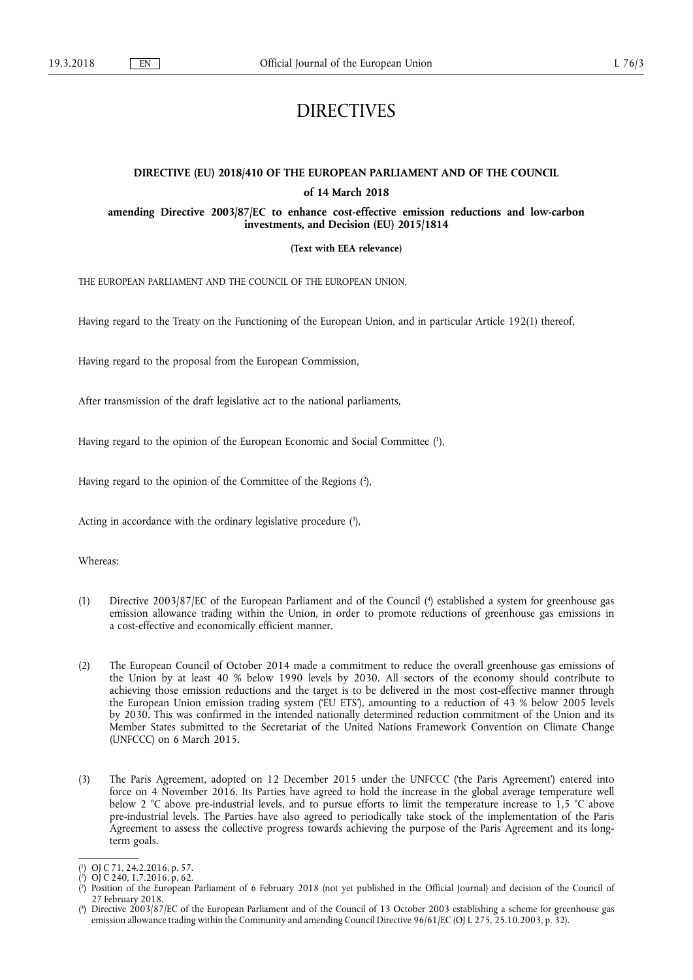# DIRECTIVES

# **DIRECTIVE (EU) 2018/410 OF THE EUROPEAN PARLIAMENT AND OF THE COUNCIL of 14 March 2018**

**amending Directive 2003/87/EC to enhance cost-effective emission reductions and low-carbon investments, and Decision (EU) 2015/1814** 

**(Text with EEA relevance)** 

THE EUROPEAN PARLIAMENT AND THE COUNCIL OF THE EUROPEAN UNION,

Having regard to the Treaty on the Functioning of the European Union, and in particular Article 192(1) thereof,

Having regard to the proposal from the European Commission,

After transmission of the draft legislative act to the national parliaments,

Having regard to the opinion of the European Economic and Social Committee ( 1 ),

Having regard to the opinion of the Committee of the Regions ( 2 ),

Acting in accordance with the ordinary legislative procedure  $(3)$ ,

Whereas:

- (1) Directive 2003/87/EC of the European Parliament and of the Council ( 4 ) established a system for greenhouse gas emission allowance trading within the Union, in order to promote reductions of greenhouse gas emissions in a cost-effective and economically efficient manner.
- (2) The European Council of October 2014 made a commitment to reduce the overall greenhouse gas emissions of the Union by at least 40 % below 1990 levels by 2030. All sectors of the economy should contribute to achieving those emission reductions and the target is to be delivered in the most cost-effective manner through the European Union emission trading system ('EU ETS'), amounting to a reduction of 43 % below 2005 levels by 2030. This was confirmed in the intended nationally determined reduction commitment of the Union and its Member States submitted to the Secretariat of the United Nations Framework Convention on Climate Change (UNFCCC) on 6 March 2015.
- (3) The Paris Agreement, adopted on 12 December 2015 under the UNFCCC ('the Paris Agreement') entered into force on 4 November 2016. Its Parties have agreed to hold the increase in the global average temperature well below 2 °C above pre-industrial levels, and to pursue efforts to limit the temperature increase to 1,5 °C above pre-industrial levels. The Parties have also agreed to periodically take stock of the implementation of the Paris Agreement to assess the collective progress towards achieving the purpose of the Paris Agreement and its longterm goals.

<sup>(</sup> 1 ) OJ C 71, 24.2.2016, p. 57.

<sup>(</sup> 2 ) OJ C 240, 1.7.2016, p. 62.

<sup>(</sup> 3 ) Position of the European Parliament of 6 February 2018 (not yet published in the Official Journal) and decision of the Council of 27 February 2018.

<sup>(</sup> 4 ) Directive 2003/87/EC of the European Parliament and of the Council of 13 October 2003 establishing a scheme for greenhouse gas emission allowance trading within the Community and amending Council Directive 96/61/EC (OJ L 275, 25.10.2003, p. 32).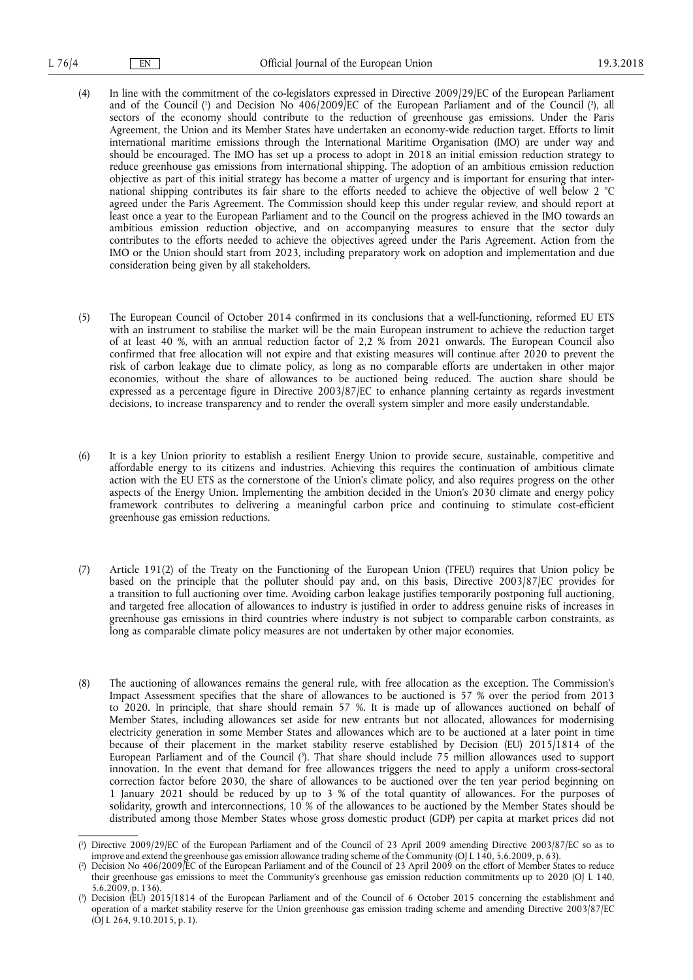- (4) In line with the commitment of the co-legislators expressed in Directive 2009/29/EC of the European Parliament and of the Council (<sup>1</sup>) and Decision No 406/2009/EC of the European Parliament and of the Council (<sup>2</sup>), all sectors of the economy should contribute to the reduction of greenhouse gas emissions. Under the Paris Agreement, the Union and its Member States have undertaken an economy-wide reduction target. Efforts to limit international maritime emissions through the International Maritime Organisation (IMO) are under way and should be encouraged. The IMO has set up a process to adopt in 2018 an initial emission reduction strategy to reduce greenhouse gas emissions from international shipping. The adoption of an ambitious emission reduction objective as part of this initial strategy has become a matter of urgency and is important for ensuring that international shipping contributes its fair share to the efforts needed to achieve the objective of well below 2 °C agreed under the Paris Agreement. The Commission should keep this under regular review, and should report at least once a year to the European Parliament and to the Council on the progress achieved in the IMO towards an ambitious emission reduction objective, and on accompanying measures to ensure that the sector duly contributes to the efforts needed to achieve the objectives agreed under the Paris Agreement. Action from the IMO or the Union should start from 2023, including preparatory work on adoption and implementation and due consideration being given by all stakeholders.
- (5) The European Council of October 2014 confirmed in its conclusions that a well-functioning, reformed EU ETS with an instrument to stabilise the market will be the main European instrument to achieve the reduction target of at least 40 %, with an annual reduction factor of 2,2 % from 2021 onwards. The European Council also confirmed that free allocation will not expire and that existing measures will continue after 2020 to prevent the risk of carbon leakage due to climate policy, as long as no comparable efforts are undertaken in other major economies, without the share of allowances to be auctioned being reduced. The auction share should be expressed as a percentage figure in Directive 2003/87/EC to enhance planning certainty as regards investment decisions, to increase transparency and to render the overall system simpler and more easily understandable.
- (6) It is a key Union priority to establish a resilient Energy Union to provide secure, sustainable, competitive and affordable energy to its citizens and industries. Achieving this requires the continuation of ambitious climate action with the EU ETS as the cornerstone of the Union's climate policy, and also requires progress on the other aspects of the Energy Union. Implementing the ambition decided in the Union's 2030 climate and energy policy framework contributes to delivering a meaningful carbon price and continuing to stimulate cost-efficient greenhouse gas emission reductions.
- (7) Article 191(2) of the Treaty on the Functioning of the European Union (TFEU) requires that Union policy be based on the principle that the polluter should pay and, on this basis, Directive 2003/87/EC provides for a transition to full auctioning over time. Avoiding carbon leakage justifies temporarily postponing full auctioning, and targeted free allocation of allowances to industry is justified in order to address genuine risks of increases in greenhouse gas emissions in third countries where industry is not subject to comparable carbon constraints, as long as comparable climate policy measures are not undertaken by other major economies.
- (8) The auctioning of allowances remains the general rule, with free allocation as the exception. The Commission's Impact Assessment specifies that the share of allowances to be auctioned is 57 % over the period from 2013 to 2020. In principle, that share should remain 57 %. It is made up of allowances auctioned on behalf of Member States, including allowances set aside for new entrants but not allocated, allowances for modernising electricity generation in some Member States and allowances which are to be auctioned at a later point in time because of their placement in the market stability reserve established by Decision (EU) 2015/1814 of the European Parliament and of the Council ( 3 ). That share should include 75 million allowances used to support innovation. In the event that demand for free allowances triggers the need to apply a uniform cross-sectoral correction factor before 2030, the share of allowances to be auctioned over the ten year period beginning on 1 January 2021 should be reduced by up to 3 % of the total quantity of allowances. For the purposes of solidarity, growth and interconnections, 10 % of the allowances to be auctioned by the Member States should be distributed among those Member States whose gross domestic product (GDP) per capita at market prices did not

<sup>(</sup> 1 ) Directive 2009/29/EC of the European Parliament and of the Council of 23 April 2009 amending Directive 2003/87/EC so as to improve and extend the greenhouse gas emission allowance trading scheme of the Community (OJ L 140, 5.6.2009, p. 63).

<sup>(</sup> 2 ) Decision No 406/2009/EC of the European Parliament and of the Council of 23 April 2009 on the effort of Member States to reduce their greenhouse gas emissions to meet the Community's greenhouse gas emission reduction commitments up to 2020 (OJ L 140, 5.6.2009, p. 136).

<sup>(</sup> 3 ) Decision (EU) 2015/1814 of the European Parliament and of the Council of 6 October 2015 concerning the establishment and operation of a market stability reserve for the Union greenhouse gas emission trading scheme and amending Directive 2003/87/EC (OJ L 264, 9.10.2015, p. 1).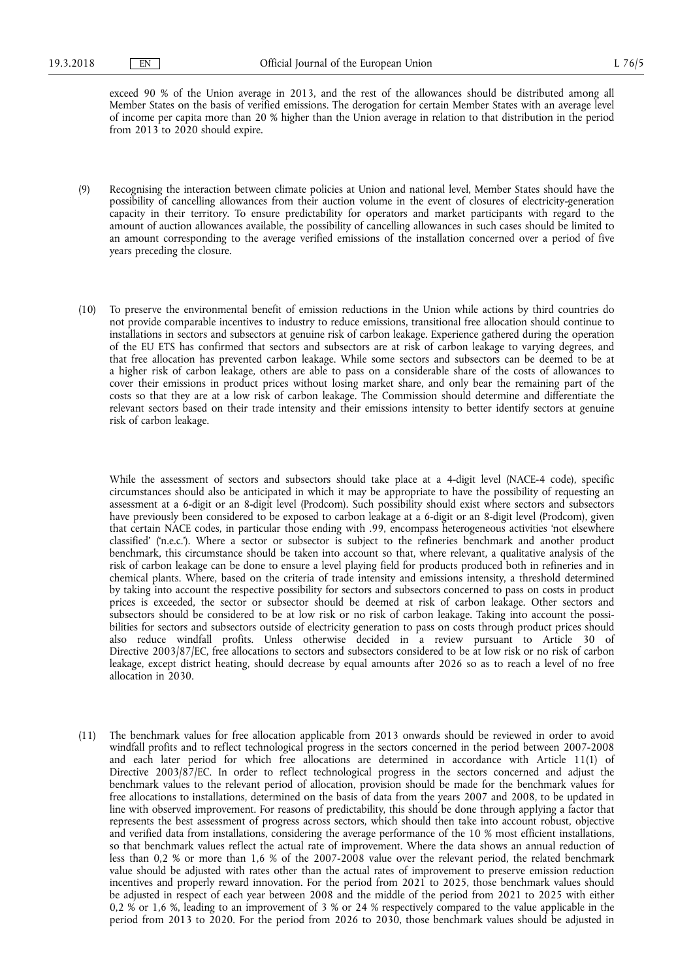exceed 90 % of the Union average in 2013, and the rest of the allowances should be distributed among all Member States on the basis of verified emissions. The derogation for certain Member States with an average level of income per capita more than 20 % higher than the Union average in relation to that distribution in the period from 2013 to 2020 should expire.

- (9) Recognising the interaction between climate policies at Union and national level, Member States should have the possibility of cancelling allowances from their auction volume in the event of closures of electricity-generation capacity in their territory. To ensure predictability for operators and market participants with regard to the amount of auction allowances available, the possibility of cancelling allowances in such cases should be limited to an amount corresponding to the average verified emissions of the installation concerned over a period of five years preceding the closure.
- (10) To preserve the environmental benefit of emission reductions in the Union while actions by third countries do not provide comparable incentives to industry to reduce emissions, transitional free allocation should continue to installations in sectors and subsectors at genuine risk of carbon leakage. Experience gathered during the operation of the EU ETS has confirmed that sectors and subsectors are at risk of carbon leakage to varying degrees, and that free allocation has prevented carbon leakage. While some sectors and subsectors can be deemed to be at a higher risk of carbon leakage, others are able to pass on a considerable share of the costs of allowances to cover their emissions in product prices without losing market share, and only bear the remaining part of the costs so that they are at a low risk of carbon leakage. The Commission should determine and differentiate the relevant sectors based on their trade intensity and their emissions intensity to better identify sectors at genuine risk of carbon leakage.

While the assessment of sectors and subsectors should take place at a 4-digit level (NACE-4 code), specific circumstances should also be anticipated in which it may be appropriate to have the possibility of requesting an assessment at a 6-digit or an 8-digit level (Prodcom). Such possibility should exist where sectors and subsectors have previously been considered to be exposed to carbon leakage at a 6-digit or an 8-digit level (Prodcom), given that certain NACE codes, in particular those ending with .99, encompass heterogeneous activities 'not elsewhere classified' ('n.e.c.'). Where a sector or subsector is subject to the refineries benchmark and another product benchmark, this circumstance should be taken into account so that, where relevant, a qualitative analysis of the risk of carbon leakage can be done to ensure a level playing field for products produced both in refineries and in chemical plants. Where, based on the criteria of trade intensity and emissions intensity, a threshold determined by taking into account the respective possibility for sectors and subsectors concerned to pass on costs in product prices is exceeded, the sector or subsector should be deemed at risk of carbon leakage. Other sectors and subsectors should be considered to be at low risk or no risk of carbon leakage. Taking into account the possibilities for sectors and subsectors outside of electricity generation to pass on costs through product prices should also reduce windfall profits. Unless otherwise decided in a review pursuant to Article 30 of Directive 2003/87/EC, free allocations to sectors and subsectors considered to be at low risk or no risk of carbon leakage, except district heating, should decrease by equal amounts after 2026 so as to reach a level of no free allocation in 2030.

(11) The benchmark values for free allocation applicable from 2013 onwards should be reviewed in order to avoid windfall profits and to reflect technological progress in the sectors concerned in the period between 2007-2008 and each later period for which free allocations are determined in accordance with Article 11(1) of Directive 2003/87/EC. In order to reflect technological progress in the sectors concerned and adjust the benchmark values to the relevant period of allocation, provision should be made for the benchmark values for free allocations to installations, determined on the basis of data from the years 2007 and 2008, to be updated in line with observed improvement. For reasons of predictability, this should be done through applying a factor that represents the best assessment of progress across sectors, which should then take into account robust, objective and verified data from installations, considering the average performance of the 10 % most efficient installations, so that benchmark values reflect the actual rate of improvement. Where the data shows an annual reduction of less than 0,2 % or more than 1,6 % of the 2007-2008 value over the relevant period, the related benchmark value should be adjusted with rates other than the actual rates of improvement to preserve emission reduction incentives and properly reward innovation. For the period from 2021 to 2025, those benchmark values should be adjusted in respect of each year between 2008 and the middle of the period from 2021 to 2025 with either 0,2 % or 1,6 %, leading to an improvement of 3 % or 24 % respectively compared to the value applicable in the period from 2013 to 2020. For the period from 2026 to 2030, those benchmark values should be adjusted in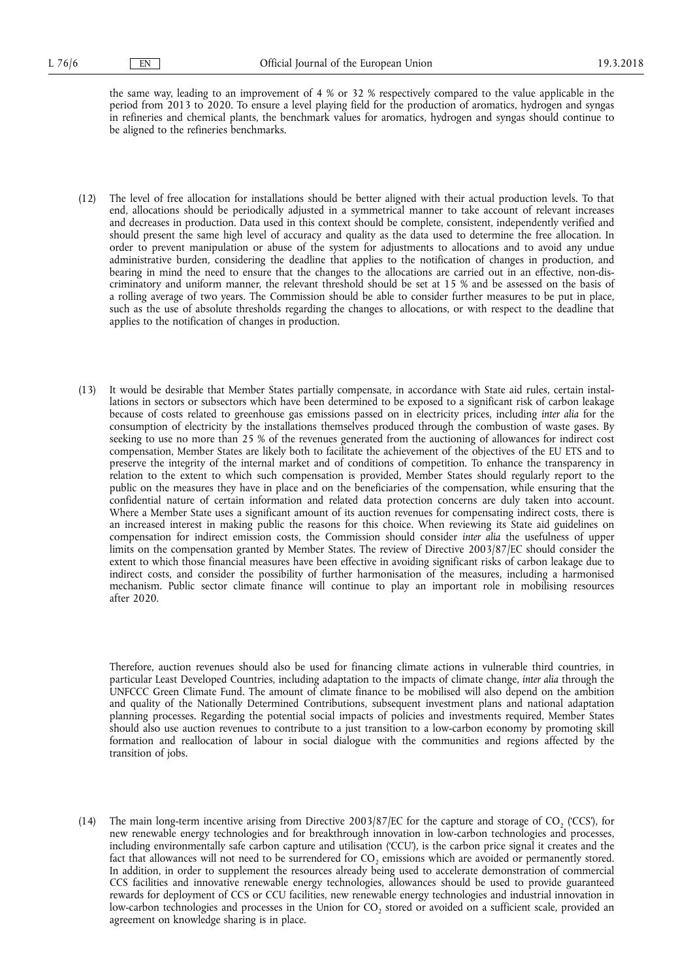the same way, leading to an improvement of 4 % or 32 % respectively compared to the value applicable in the period from 2013 to 2020. To ensure a level playing field for the production of aromatics, hydrogen and syngas in refineries and chemical plants, the benchmark values for aromatics, hydrogen and syngas should continue to be aligned to the refineries benchmarks.

- (12) The level of free allocation for installations should be better aligned with their actual production levels. To that end, allocations should be periodically adjusted in a symmetrical manner to take account of relevant increases and decreases in production. Data used in this context should be complete, consistent, independently verified and should present the same high level of accuracy and quality as the data used to determine the free allocation. In order to prevent manipulation or abuse of the system for adjustments to allocations and to avoid any undue administrative burden, considering the deadline that applies to the notification of changes in production, and bearing in mind the need to ensure that the changes to the allocations are carried out in an effective, non-discriminatory and uniform manner, the relevant threshold should be set at 15 % and be assessed on the basis of a rolling average of two years. The Commission should be able to consider further measures to be put in place, such as the use of absolute thresholds regarding the changes to allocations, or with respect to the deadline that applies to the notification of changes in production.
- (13) It would be desirable that Member States partially compensate, in accordance with State aid rules, certain installations in sectors or subsectors which have been determined to be exposed to a significant risk of carbon leakage because of costs related to greenhouse gas emissions passed on in electricity prices, including *inter alia* for the consumption of electricity by the installations themselves produced through the combustion of waste gases. By seeking to use no more than 25 % of the revenues generated from the auctioning of allowances for indirect cost compensation, Member States are likely both to facilitate the achievement of the objectives of the EU ETS and to preserve the integrity of the internal market and of conditions of competition. To enhance the transparency in relation to the extent to which such compensation is provided, Member States should regularly report to the public on the measures they have in place and on the beneficiaries of the compensation, while ensuring that the confidential nature of certain information and related data protection concerns are duly taken into account. Where a Member State uses a significant amount of its auction revenues for compensating indirect costs, there is an increased interest in making public the reasons for this choice. When reviewing its State aid guidelines on compensation for indirect emission costs, the Commission should consider *inter alia* the usefulness of upper limits on the compensation granted by Member States. The review of Directive 2003/87/EC should consider the extent to which those financial measures have been effective in avoiding significant risks of carbon leakage due to indirect costs, and consider the possibility of further harmonisation of the measures, including a harmonised mechanism. Public sector climate finance will continue to play an important role in mobilising resources after 2020.

Therefore, auction revenues should also be used for financing climate actions in vulnerable third countries, in particular Least Developed Countries, including adaptation to the impacts of climate change, *inter alia* through the UNFCCC Green Climate Fund. The amount of climate finance to be mobilised will also depend on the ambition and quality of the Nationally Determined Contributions, subsequent investment plans and national adaptation planning processes. Regarding the potential social impacts of policies and investments required, Member States should also use auction revenues to contribute to a just transition to a low-carbon economy by promoting skill formation and reallocation of labour in social dialogue with the communities and regions affected by the transition of jobs.

(14) The main long-term incentive arising from Directive 2003/87/EC for the capture and storage of CO, ('CCS'), for new renewable energy technologies and for breakthrough innovation in low-carbon technologies and processes, including environmentally safe carbon capture and utilisation ('CCU'), is the carbon price signal it creates and the fact that allowances will not need to be surrendered for CO<sub>2</sub> emissions which are avoided or permanently stored. In addition, in order to supplement the resources already being used to accelerate demonstration of commercial CCS facilities and innovative renewable energy technologies, allowances should be used to provide guaranteed rewards for deployment of CCS or CCU facilities, new renewable energy technologies and industrial innovation in low-carbon technologies and processes in the Union for  $CO<sub>2</sub>$  stored or avoided on a sufficient scale, provided an agreement on knowledge sharing is in place.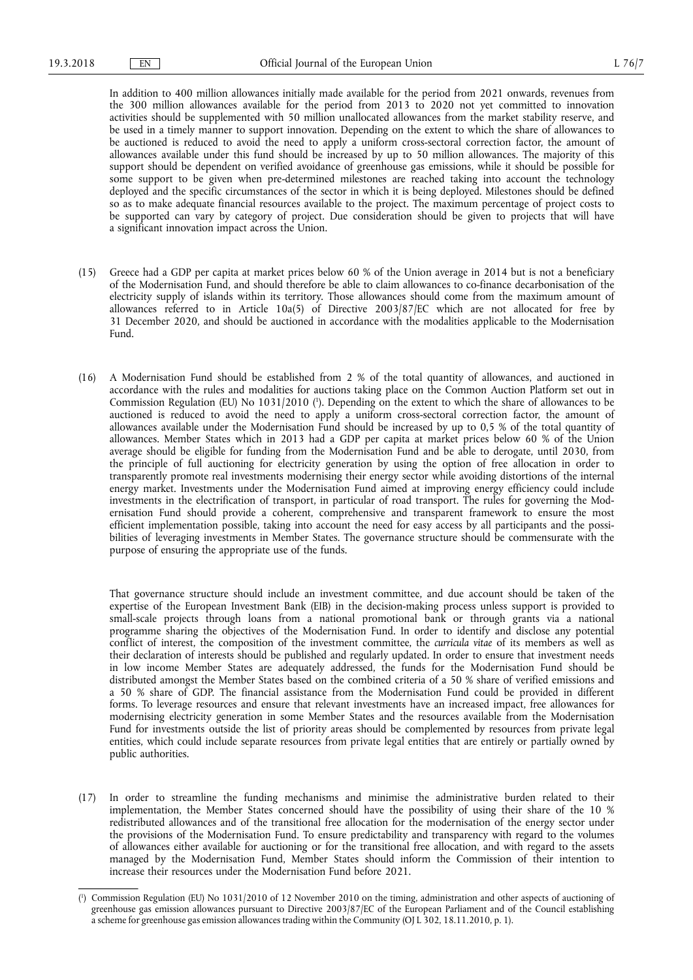In addition to 400 million allowances initially made available for the period from 2021 onwards, revenues from the 300 million allowances available for the period from 2013 to 2020 not yet committed to innovation activities should be supplemented with 50 million unallocated allowances from the market stability reserve, and be used in a timely manner to support innovation. Depending on the extent to which the share of allowances to be auctioned is reduced to avoid the need to apply a uniform cross-sectoral correction factor, the amount of allowances available under this fund should be increased by up to 50 million allowances. The majority of this support should be dependent on verified avoidance of greenhouse gas emissions, while it should be possible for some support to be given when pre-determined milestones are reached taking into account the technology deployed and the specific circumstances of the sector in which it is being deployed. Milestones should be defined so as to make adequate financial resources available to the project. The maximum percentage of project costs to be supported can vary by category of project. Due consideration should be given to projects that will have a significant innovation impact across the Union.

- (15) Greece had a GDP per capita at market prices below 60 % of the Union average in 2014 but is not a beneficiary of the Modernisation Fund, and should therefore be able to claim allowances to co-finance decarbonisation of the electricity supply of islands within its territory. Those allowances should come from the maximum amount of allowances referred to in Article 10a(5) of Directive 2003/87/EC which are not allocated for free by 31 December 2020, and should be auctioned in accordance with the modalities applicable to the Modernisation Fund.
- (16) A Modernisation Fund should be established from 2 % of the total quantity of allowances, and auctioned in accordance with the rules and modalities for auctions taking place on the Common Auction Platform set out in Commission Regulation (EU) No 1031/2010 ( 1 ). Depending on the extent to which the share of allowances to be auctioned is reduced to avoid the need to apply a uniform cross-sectoral correction factor, the amount of allowances available under the Modernisation Fund should be increased by up to 0,5 % of the total quantity of allowances. Member States which in 2013 had a GDP per capita at market prices below 60 % of the Union average should be eligible for funding from the Modernisation Fund and be able to derogate, until 2030, from the principle of full auctioning for electricity generation by using the option of free allocation in order to transparently promote real investments modernising their energy sector while avoiding distortions of the internal energy market. Investments under the Modernisation Fund aimed at improving energy efficiency could include investments in the electrification of transport, in particular of road transport. The rules for governing the Modernisation Fund should provide a coherent, comprehensive and transparent framework to ensure the most efficient implementation possible, taking into account the need for easy access by all participants and the possibilities of leveraging investments in Member States. The governance structure should be commensurate with the purpose of ensuring the appropriate use of the funds.

That governance structure should include an investment committee, and due account should be taken of the expertise of the European Investment Bank (EIB) in the decision-making process unless support is provided to small-scale projects through loans from a national promotional bank or through grants via a national programme sharing the objectives of the Modernisation Fund. In order to identify and disclose any potential conflict of interest, the composition of the investment committee, the *curricula vitae* of its members as well as their declaration of interests should be published and regularly updated. In order to ensure that investment needs in low income Member States are adequately addressed, the funds for the Modernisation Fund should be distributed amongst the Member States based on the combined criteria of a 50 % share of verified emissions and a 50 % share of GDP. The financial assistance from the Modernisation Fund could be provided in different forms. To leverage resources and ensure that relevant investments have an increased impact, free allowances for modernising electricity generation in some Member States and the resources available from the Modernisation Fund for investments outside the list of priority areas should be complemented by resources from private legal entities, which could include separate resources from private legal entities that are entirely or partially owned by public authorities.

(17) In order to streamline the funding mechanisms and minimise the administrative burden related to their implementation, the Member States concerned should have the possibility of using their share of the 10 % redistributed allowances and of the transitional free allocation for the modernisation of the energy sector under the provisions of the Modernisation Fund. To ensure predictability and transparency with regard to the volumes of allowances either available for auctioning or for the transitional free allocation, and with regard to the assets managed by the Modernisation Fund, Member States should inform the Commission of their intention to increase their resources under the Modernisation Fund before 2021.

<sup>(</sup> 1 ) Commission Regulation (EU) No 1031/2010 of 12 November 2010 on the timing, administration and other aspects of auctioning of greenhouse gas emission allowances pursuant to Directive 2003/87/EC of the European Parliament and of the Council establishing a scheme for greenhouse gas emission allowances trading within the Community (OJ L 302, 18.11.2010, p. 1).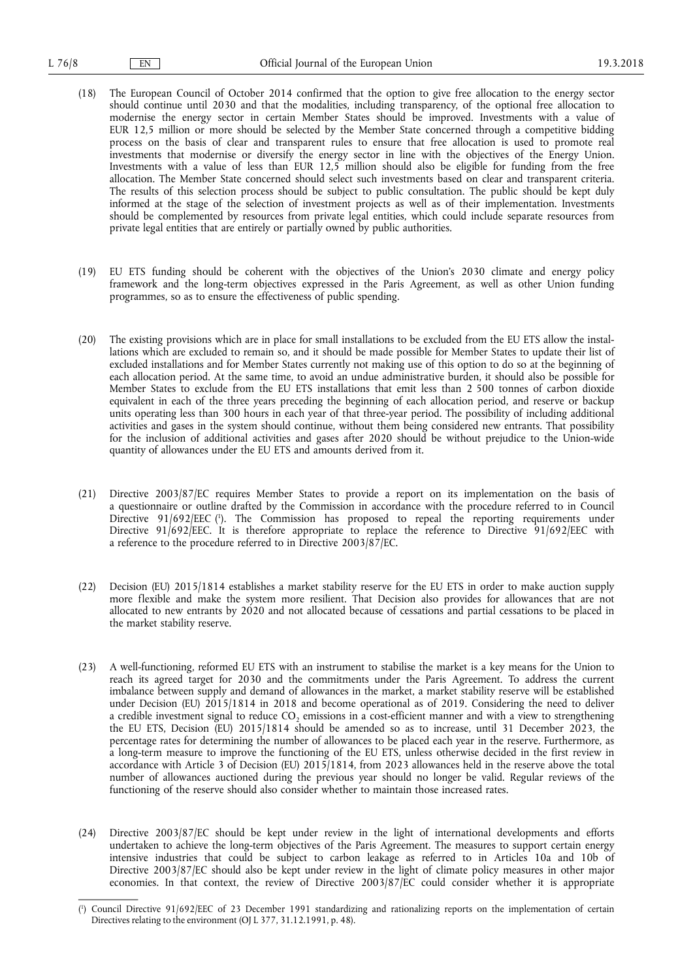- (18) The European Council of October 2014 confirmed that the option to give free allocation to the energy sector should continue until 2030 and that the modalities, including transparency, of the optional free allocation to modernise the energy sector in certain Member States should be improved. Investments with a value of EUR 12,5 million or more should be selected by the Member State concerned through a competitive bidding process on the basis of clear and transparent rules to ensure that free allocation is used to promote real investments that modernise or diversify the energy sector in line with the objectives of the Energy Union. Investments with a value of less than EUR 12,5 million should also be eligible for funding from the free allocation. The Member State concerned should select such investments based on clear and transparent criteria. The results of this selection process should be subject to public consultation. The public should be kept duly informed at the stage of the selection of investment projects as well as of their implementation. Investments should be complemented by resources from private legal entities, which could include separate resources from private legal entities that are entirely or partially owned by public authorities.
- (19) EU ETS funding should be coherent with the objectives of the Union's 2030 climate and energy policy framework and the long-term objectives expressed in the Paris Agreement, as well as other Union funding programmes, so as to ensure the effectiveness of public spending.
- (20) The existing provisions which are in place for small installations to be excluded from the EU ETS allow the installations which are excluded to remain so, and it should be made possible for Member States to update their list of excluded installations and for Member States currently not making use of this option to do so at the beginning of each allocation period. At the same time, to avoid an undue administrative burden, it should also be possible for Member States to exclude from the EU ETS installations that emit less than 2 500 tonnes of carbon dioxide equivalent in each of the three years preceding the beginning of each allocation period, and reserve or backup units operating less than 300 hours in each year of that three-year period. The possibility of including additional activities and gases in the system should continue, without them being considered new entrants. That possibility for the inclusion of additional activities and gases after 2020 should be without prejudice to the Union-wide quantity of allowances under the EU ETS and amounts derived from it.
- (21) Directive 2003/87/EC requires Member States to provide a report on its implementation on the basis of a questionnaire or outline drafted by the Commission in accordance with the procedure referred to in Council Directive 91/692/EEC ( 1 ). The Commission has proposed to repeal the reporting requirements under Directive 91/692/EEC. It is therefore appropriate to replace the reference to Directive 91/692/EEC with a reference to the procedure referred to in Directive 2003/87/EC.
- (22) Decision (EU) 2015/1814 establishes a market stability reserve for the EU ETS in order to make auction supply more flexible and make the system more resilient. That Decision also provides for allowances that are not allocated to new entrants by 2020 and not allocated because of cessations and partial cessations to be placed in the market stability reserve.
- (23) A well-functioning, reformed EU ETS with an instrument to stabilise the market is a key means for the Union to reach its agreed target for 2030 and the commitments under the Paris Agreement. To address the current imbalance between supply and demand of allowances in the market, a market stability reserve will be established under Decision (EU) 2015/1814 in 2018 and become operational as of 2019. Considering the need to deliver a credible investment signal to reduce  $CO<sub>2</sub>$  emissions in a cost-efficient manner and with a view to strengthening the EU ETS, Decision (EU) 2015/1814 should be amended so as to increase, until 31 December 2023, the percentage rates for determining the number of allowances to be placed each year in the reserve. Furthermore, as a long-term measure to improve the functioning of the EU ETS, unless otherwise decided in the first review in accordance with Article 3 of Decision (EU) 2015/1814, from 2023 allowances held in the reserve above the total number of allowances auctioned during the previous year should no longer be valid. Regular reviews of the functioning of the reserve should also consider whether to maintain those increased rates.
- (24) Directive 2003/87/EC should be kept under review in the light of international developments and efforts undertaken to achieve the long-term objectives of the Paris Agreement. The measures to support certain energy intensive industries that could be subject to carbon leakage as referred to in Articles 10a and 10b of Directive 2003/87/EC should also be kept under review in the light of climate policy measures in other major economies. In that context, the review of Directive 2003/87/EC could consider whether it is appropriate

<sup>(</sup> 1 ) Council Directive 91/692/EEC of 23 December 1991 standardizing and rationalizing reports on the implementation of certain Directives relating to the environment (OJ L 377, 31.12.1991, p. 48).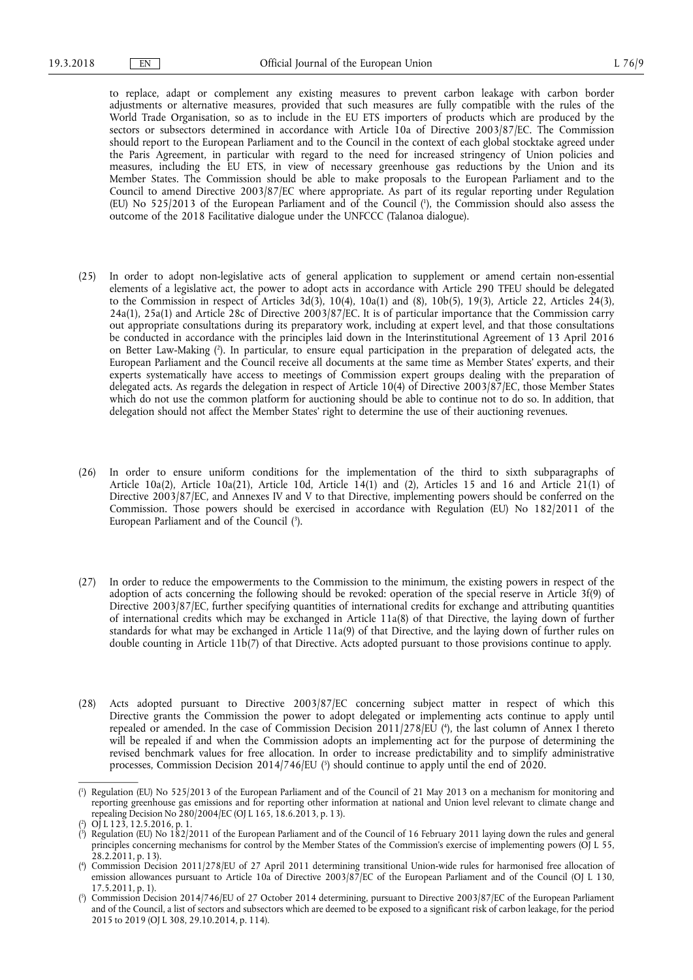to replace, adapt or complement any existing measures to prevent carbon leakage with carbon border adjustments or alternative measures, provided that such measures are fully compatible with the rules of the World Trade Organisation, so as to include in the EU ETS importers of products which are produced by the sectors or subsectors determined in accordance with Article 10a of Directive 2003/87/EC. The Commission should report to the European Parliament and to the Council in the context of each global stocktake agreed under the Paris Agreement, in particular with regard to the need for increased stringency of Union policies and measures, including the EU ETS, in view of necessary greenhouse gas reductions by the Union and its Member States. The Commission should be able to make proposals to the European Parliament and to the Council to amend Directive 2003/87/EC where appropriate. As part of its regular reporting under Regulation (EU) No 525/2013 of the European Parliament and of the Council ( 1 ), the Commission should also assess the outcome of the 2018 Facilitative dialogue under the UNFCCC (Talanoa dialogue).

- (25) In order to adopt non-legislative acts of general application to supplement or amend certain non-essential elements of a legislative act, the power to adopt acts in accordance with Article 290 TFEU should be delegated to the Commission in respect of Articles 3d(3), 10(4), 10a(1) and (8), 10b(5), 19(3), Article 22, Articles 24(3), 24a(1), 25a(1) and Article 28c of Directive 2003/87/EC. It is of particular importance that the Commission carry out appropriate consultations during its preparatory work, including at expert level, and that those consultations be conducted in accordance with the principles laid down in the Interinstitutional Agreement of 13 April 2016 on Better Law-Making ( 2 ). In particular, to ensure equal participation in the preparation of delegated acts, the European Parliament and the Council receive all documents at the same time as Member States' experts, and their experts systematically have access to meetings of Commission expert groups dealing with the preparation of delegated acts. As regards the delegation in respect of Article 10(4) of Directive 2003/87/EC, those Member States which do not use the common platform for auctioning should be able to continue not to do so. In addition, that delegation should not affect the Member States' right to determine the use of their auctioning revenues.
- (26) In order to ensure uniform conditions for the implementation of the third to sixth subparagraphs of Article 10a(2), Article 10a(21), Article 10d, Article 14(1) and (2), Articles 15 and 16 and Article 21(1) of Directive 2003/87/EC, and Annexes IV and V to that Directive, implementing powers should be conferred on the Commission. Those powers should be exercised in accordance with Regulation (EU) No 182/2011 of the European Parliament and of the Council (3).
- (27) In order to reduce the empowerments to the Commission to the minimum, the existing powers in respect of the adoption of acts concerning the following should be revoked: operation of the special reserve in Article 3f(9) of Directive 2003/87/EC, further specifying quantities of international credits for exchange and attributing quantities of international credits which may be exchanged in Article 11a(8) of that Directive, the laying down of further standards for what may be exchanged in Article 11a(9) of that Directive, and the laying down of further rules on double counting in Article 11b(7) of that Directive. Acts adopted pursuant to those provisions continue to apply.
- (28) Acts adopted pursuant to Directive 2003/87/EC concerning subject matter in respect of which this Directive grants the Commission the power to adopt delegated or implementing acts continue to apply until repealed or amended. In the case of Commission Decision 2011/278/EU ( 4 ), the last column of Annex I thereto will be repealed if and when the Commission adopts an implementing act for the purpose of determining the revised benchmark values for free allocation. In order to increase predictability and to simplify administrative processes, Commission Decision 2014/746/EU (5) should continue to apply until the end of 2020.

<sup>(</sup> 1 ) Regulation (EU) No 525/2013 of the European Parliament and of the Council of 21 May 2013 on a mechanism for monitoring and reporting greenhouse gas emissions and for reporting other information at national and Union level relevant to climate change and repealing Decision No  $\frac{280}{2004}$  EC (OJ L 165, 18.6.2013, p. 13).

<sup>(</sup> 2 OJ L 123, 12.5.2016, p. 1.

<sup>(</sup> 3 ) Regulation (EU) No 182/2011 of the European Parliament and of the Council of 16 February 2011 laying down the rules and general principles concerning mechanisms for control by the Member States of the Commission's exercise of implementing powers (OJ L 55, 28.2.2011, p. 13).

<sup>(</sup> 4 ) Commission Decision 2011/278/EU of 27 April 2011 determining transitional Union‑wide rules for harmonised free allocation of emission allowances pursuant to Article 10a of Directive 2003/87/EC of the European Parliament and of the Council (OJ L 130, 17.5.2011, p. 1).

<sup>(</sup> 5 ) Commission Decision 2014/746/EU of 27 October 2014 determining, pursuant to Directive 2003/87/EC of the European Parliament and of the Council, a list of sectors and subsectors which are deemed to be exposed to a significant risk of carbon leakage, for the period 2015 to 2019 (OJ L 308, 29.10.2014, p. 114).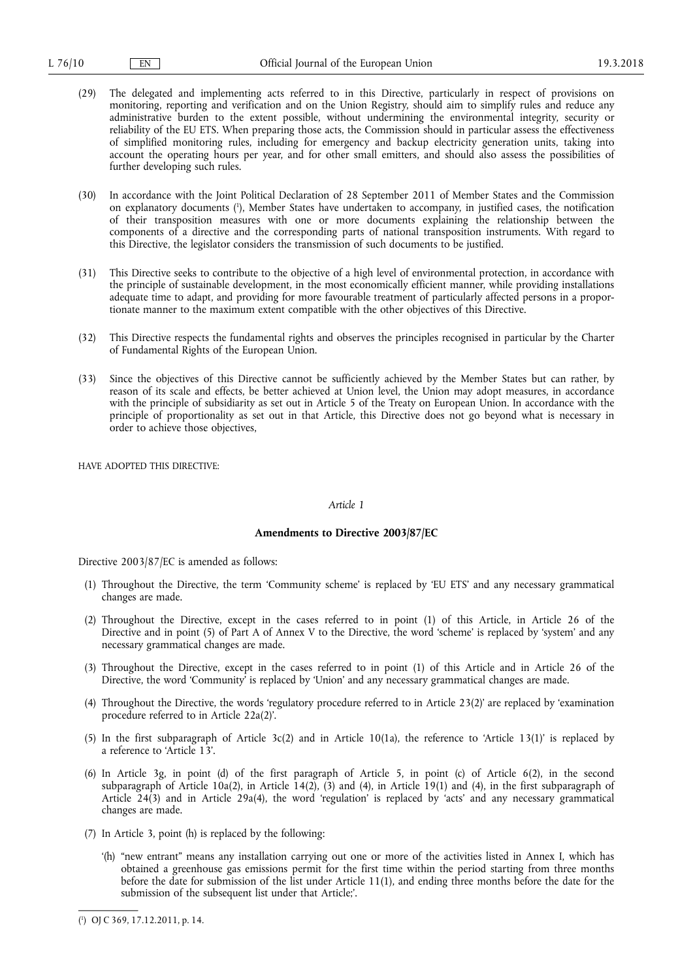- (29) The delegated and implementing acts referred to in this Directive, particularly in respect of provisions on monitoring, reporting and verification and on the Union Registry, should aim to simplify rules and reduce any administrative burden to the extent possible, without undermining the environmental integrity, security or reliability of the EU ETS. When preparing those acts, the Commission should in particular assess the effectiveness of simplified monitoring rules, including for emergency and backup electricity generation units, taking into account the operating hours per year, and for other small emitters, and should also assess the possibilities of further developing such rules.
- (30) In accordance with the Joint Political Declaration of 28 September 2011 of Member States and the Commission on explanatory documents ( 1 ), Member States have undertaken to accompany, in justified cases, the notification of their transposition measures with one or more documents explaining the relationship between the components of a directive and the corresponding parts of national transposition instruments. With regard to this Directive, the legislator considers the transmission of such documents to be justified.
- (31) This Directive seeks to contribute to the objective of a high level of environmental protection, in accordance with the principle of sustainable development, in the most economically efficient manner, while providing installations adequate time to adapt, and providing for more favourable treatment of particularly affected persons in a proportionate manner to the maximum extent compatible with the other objectives of this Directive.
- (32) This Directive respects the fundamental rights and observes the principles recognised in particular by the Charter of Fundamental Rights of the European Union.
- (33) Since the objectives of this Directive cannot be sufficiently achieved by the Member States but can rather, by reason of its scale and effects, be better achieved at Union level, the Union may adopt measures, in accordance with the principle of subsidiarity as set out in Article 5 of the Treaty on European Union. In accordance with the principle of proportionality as set out in that Article, this Directive does not go beyond what is necessary in order to achieve those objectives,

HAVE ADOPTED THIS DIRECTIVE:

## *Article 1*

### **Amendments to Directive 2003/87/EC**

Directive 2003/87/EC is amended as follows:

- (1) Throughout the Directive, the term 'Community scheme' is replaced by 'EU ETS' and any necessary grammatical changes are made.
- (2) Throughout the Directive, except in the cases referred to in point (1) of this Article, in Article 26 of the Directive and in point (5) of Part A of Annex V to the Directive, the word 'scheme' is replaced by 'system' and any necessary grammatical changes are made.
- (3) Throughout the Directive, except in the cases referred to in point (1) of this Article and in Article 26 of the Directive, the word 'Community' is replaced by 'Union' and any necessary grammatical changes are made.
- (4) Throughout the Directive, the words 'regulatory procedure referred to in Article 23(2)' are replaced by 'examination procedure referred to in Article 22a(2)'.
- (5) In the first subparagraph of Article 3c(2) and in Article 10(1a), the reference to 'Article 13(1)' is replaced by a reference to 'Article 13'.
- (6) In Article 3g, in point (d) of the first paragraph of Article 5, in point (c) of Article 6(2), in the second subparagraph of Article 10a(2), in Article 14(2), (3) and (4), in Article 19(1) and (4), in the first subparagraph of Article 24(3) and in Article 29a(4), the word 'regulation' is replaced by 'acts' and any necessary grammatical changes are made.
- (7) In Article 3, point (h) is replaced by the following:
	- '(h) "new entrant" means any installation carrying out one or more of the activities listed in Annex I, which has obtained a greenhouse gas emissions permit for the first time within the period starting from three months before the date for submission of the list under Article 11(1), and ending three months before the date for the submission of the subsequent list under that Article;'.

<sup>(</sup> 1 ) OJ C 369, 17.12.2011, p. 14.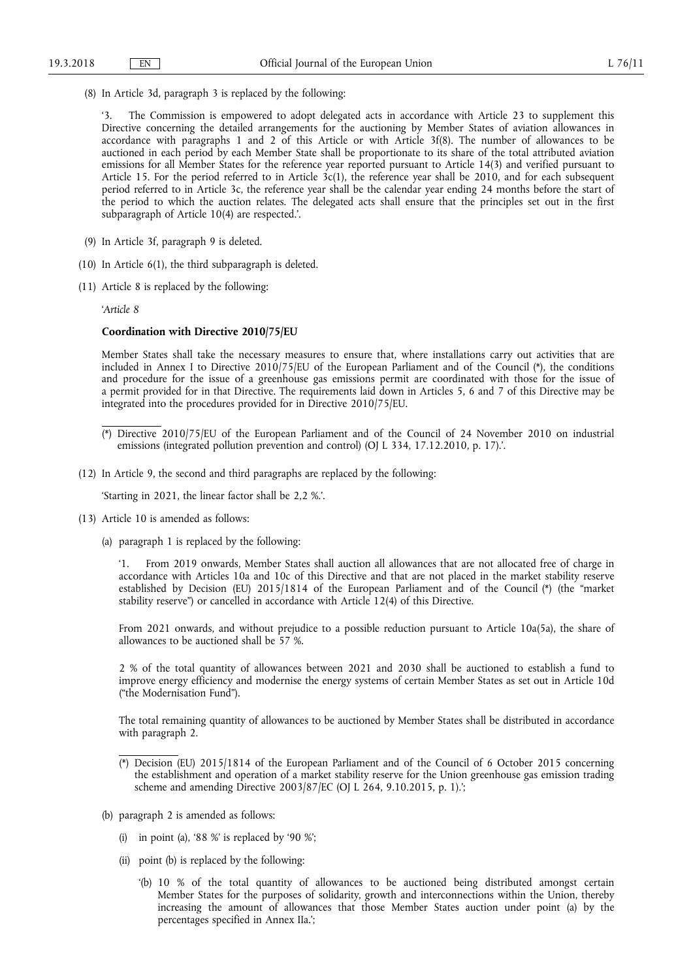(8) In Article 3d, paragraph 3 is replaced by the following:

The Commission is empowered to adopt delegated acts in accordance with Article 23 to supplement this Directive concerning the detailed arrangements for the auctioning by Member States of aviation allowances in accordance with paragraphs 1 and 2 of this Article or with Article 3f(8). The number of allowances to be auctioned in each period by each Member State shall be proportionate to its share of the total attributed aviation emissions for all Member States for the reference year reported pursuant to Article 14(3) and verified pursuant to Article 15. For the period referred to in Article 3c(1), the reference year shall be 2010, and for each subsequent period referred to in Article 3c, the reference year shall be the calendar year ending 24 months before the start of the period to which the auction relates. The delegated acts shall ensure that the principles set out in the first subparagraph of Article 10(4) are respected.'.

- (9) In Article 3f, paragraph 9 is deleted.
- (10) In Article 6(1), the third subparagraph is deleted.
- (11) Article 8 is replaced by the following:

'*Article 8* 

#### **Coordination with Directive 2010/75/EU**

Member States shall take the necessary measures to ensure that, where installations carry out activities that are included in Annex I to Directive 2010/75/EU of the European Parliament and of the Council (\*), the conditions and procedure for the issue of a greenhouse gas emissions permit are coordinated with those for the issue of a permit provided for in that Directive. The requirements laid down in Articles 5, 6 and 7 of this Directive may be integrated into the procedures provided for in Directive 2010/75/EU.

(12) In Article 9, the second and third paragraphs are replaced by the following:

'Starting in 2021, the linear factor shall be 2,2 %.'.

- (13) Article 10 is amended as follows:
	- (a) paragraph 1 is replaced by the following:

'1. From 2019 onwards, Member States shall auction all allowances that are not allocated free of charge in accordance with Articles 10a and 10c of this Directive and that are not placed in the market stability reserve established by Decision (EU) 2015/1814 of the European Parliament and of the Council (\*) (the "market stability reserve") or cancelled in accordance with Article 12(4) of this Directive.

From 2021 onwards, and without prejudice to a possible reduction pursuant to Article 10a(5a), the share of allowances to be auctioned shall be 57 %.

2 % of the total quantity of allowances between 2021 and 2030 shall be auctioned to establish a fund to improve energy efficiency and modernise the energy systems of certain Member States as set out in Article 10d ("the Modernisation Fund").

The total remaining quantity of allowances to be auctioned by Member States shall be distributed in accordance with paragraph 2.

- (b) paragraph 2 is amended as follows:
	- (i) in point (a), '88 %' is replaced by '90 %';
	- (ii) point (b) is replaced by the following:
		- '(b) 10 % of the total quantity of allowances to be auctioned being distributed amongst certain Member States for the purposes of solidarity, growth and interconnections within the Union, thereby increasing the amount of allowances that those Member States auction under point (a) by the percentages specified in Annex IIa.';

<sup>(\*)</sup> Directive 2010/75/EU of the European Parliament and of the Council of 24 November 2010 on industrial emissions (integrated pollution prevention and control) (OJ L 334, 17.12.2010, p. 17).'.

<sup>(\*)</sup> Decision (EU) 2015/1814 of the European Parliament and of the Council of 6 October 2015 concerning the establishment and operation of a market stability reserve for the Union greenhouse gas emission trading scheme and amending Directive 2003/87/EC (OJ L 264, 9.10.2015, p. 1).';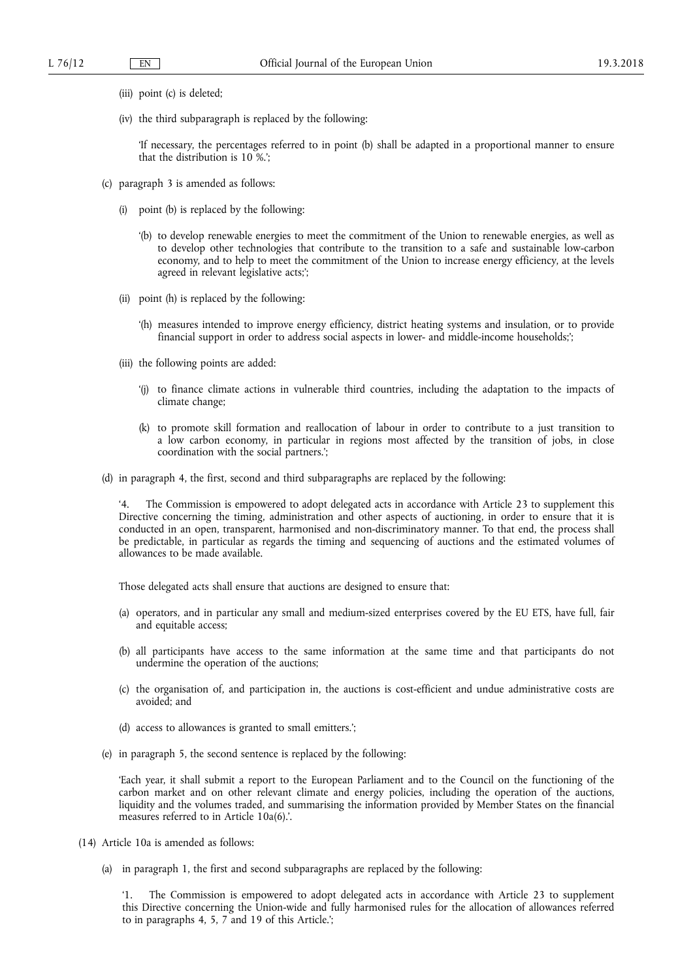- (iii) point (c) is deleted;
- (iv) the third subparagraph is replaced by the following:

'If necessary, the percentages referred to in point (b) shall be adapted in a proportional manner to ensure that the distribution is 10 %.';

- (c) paragraph 3 is amended as follows:
	- (i) point (b) is replaced by the following:
		- '(b) to develop renewable energies to meet the commitment of the Union to renewable energies, as well as to develop other technologies that contribute to the transition to a safe and sustainable low-carbon economy, and to help to meet the commitment of the Union to increase energy efficiency, at the levels agreed in relevant legislative acts;';
	- (ii) point (h) is replaced by the following:
		- '(h) measures intended to improve energy efficiency, district heating systems and insulation, or to provide financial support in order to address social aspects in lower- and middle-income households;';
	- (iii) the following points are added:
		- '(j) to finance climate actions in vulnerable third countries, including the adaptation to the impacts of climate change;
		- (k) to promote skill formation and reallocation of labour in order to contribute to a just transition to a low carbon economy, in particular in regions most affected by the transition of jobs, in close coordination with the social partners.';
- (d) in paragraph 4, the first, second and third subparagraphs are replaced by the following:

'4. The Commission is empowered to adopt delegated acts in accordance with Article 23 to supplement this Directive concerning the timing, administration and other aspects of auctioning, in order to ensure that it is conducted in an open, transparent, harmonised and non-discriminatory manner. To that end, the process shall be predictable, in particular as regards the timing and sequencing of auctions and the estimated volumes of allowances to be made available.

Those delegated acts shall ensure that auctions are designed to ensure that:

- (a) operators, and in particular any small and medium-sized enterprises covered by the EU ETS, have full, fair and equitable access;
- (b) all participants have access to the same information at the same time and that participants do not undermine the operation of the auctions;
- (c) the organisation of, and participation in, the auctions is cost-efficient and undue administrative costs are avoided; and
- (d) access to allowances is granted to small emitters.';
- (e) in paragraph 5, the second sentence is replaced by the following:

'Each year, it shall submit a report to the European Parliament and to the Council on the functioning of the carbon market and on other relevant climate and energy policies, including the operation of the auctions, liquidity and the volumes traded, and summarising the information provided by Member States on the financial measures referred to in Article 10a(6).'.

- (14) Article 10a is amended as follows:
	- (a) in paragraph 1, the first and second subparagraphs are replaced by the following:

'1. The Commission is empowered to adopt delegated acts in accordance with Article 23 to supplement this Directive concerning the Union-wide and fully harmonised rules for the allocation of allowances referred to in paragraphs 4, 5, 7 and 19 of this Article.';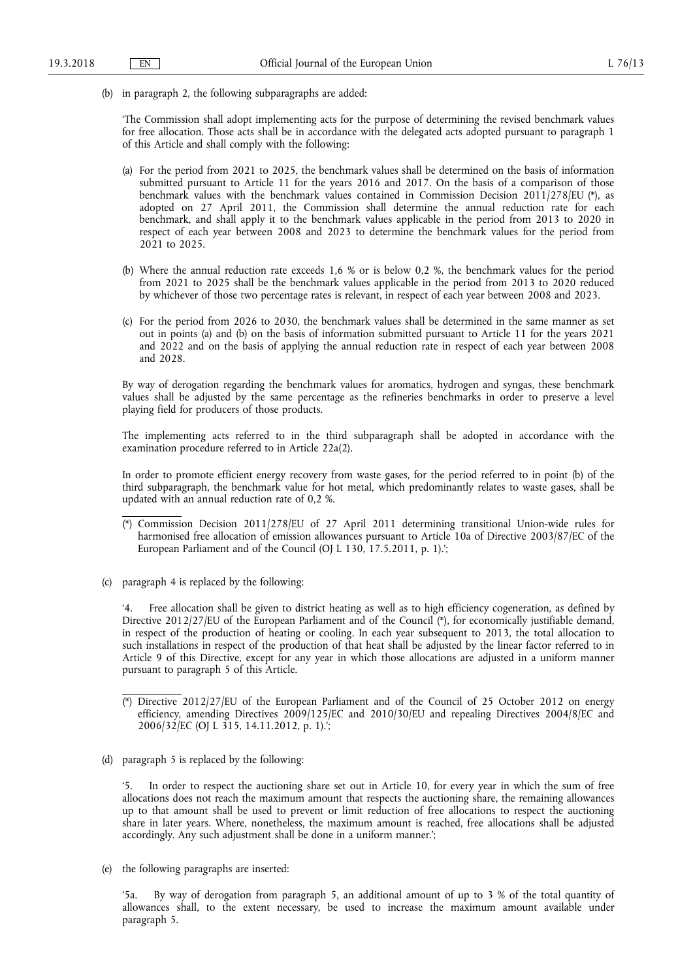(b) in paragraph 2, the following subparagraphs are added:

'The Commission shall adopt implementing acts for the purpose of determining the revised benchmark values for free allocation. Those acts shall be in accordance with the delegated acts adopted pursuant to paragraph 1 of this Article and shall comply with the following:

- (a) For the period from 2021 to 2025, the benchmark values shall be determined on the basis of information submitted pursuant to Article 11 for the years 2016 and 2017. On the basis of a comparison of those benchmark values with the benchmark values contained in Commission Decision 2011/278/EU (\*), as adopted on 27 April 2011, the Commission shall determine the annual reduction rate for each benchmark, and shall apply it to the benchmark values applicable in the period from 2013 to 2020 in respect of each year between 2008 and 2023 to determine the benchmark values for the period from 2021 to 2025.
- (b) Where the annual reduction rate exceeds 1,6 % or is below 0,2 %, the benchmark values for the period from 2021 to 2025 shall be the benchmark values applicable in the period from 2013 to 2020 reduced by whichever of those two percentage rates is relevant, in respect of each year between 2008 and 2023.
- (c) For the period from 2026 to 2030, the benchmark values shall be determined in the same manner as set out in points (a) and (b) on the basis of information submitted pursuant to Article 11 for the years 2021 and 2022 and on the basis of applying the annual reduction rate in respect of each year between 2008 and 2028.

By way of derogation regarding the benchmark values for aromatics, hydrogen and syngas, these benchmark values shall be adjusted by the same percentage as the refineries benchmarks in order to preserve a level playing field for producers of those products.

The implementing acts referred to in the third subparagraph shall be adopted in accordance with the examination procedure referred to in Article 22a(2).

In order to promote efficient energy recovery from waste gases, for the period referred to in point (b) of the third subparagraph, the benchmark value for hot metal, which predominantly relates to waste gases, shall be updated with an annual reduction rate of 0,2 %.

- (\*) Commission Decision 2011/278/EU of 27 April 2011 determining transitional Union-wide rules for harmonised free allocation of emission allowances pursuant to Article 10a of Directive 2003/87/EC of the European Parliament and of the Council (OJ L 130, 17.5.2011, p. 1).';
- (c) paragraph 4 is replaced by the following:

'4. Free allocation shall be given to district heating as well as to high efficiency cogeneration, as defined by Directive 2012/27/EU of the European Parliament and of the Council (\*), for economically justifiable demand, in respect of the production of heating or cooling. In each year subsequent to 2013, the total allocation to such installations in respect of the production of that heat shall be adjusted by the linear factor referred to in Article 9 of this Directive, except for any year in which those allocations are adjusted in a uniform manner pursuant to paragraph 5 of this Article.

(d) paragraph 5 is replaced by the following:

'5. In order to respect the auctioning share set out in Article 10, for every year in which the sum of free allocations does not reach the maximum amount that respects the auctioning share, the remaining allowances up to that amount shall be used to prevent or limit reduction of free allocations to respect the auctioning share in later years. Where, nonetheless, the maximum amount is reached, free allocations shall be adjusted accordingly. Any such adjustment shall be done in a uniform manner.';

(e) the following paragraphs are inserted:

'5a. By way of derogation from paragraph 5, an additional amount of up to 3 % of the total quantity of allowances shall, to the extent necessary, be used to increase the maximum amount available under paragraph 5.

<sup>(\*)</sup> Directive 2012/27/EU of the European Parliament and of the Council of 25 October 2012 on energy efficiency, amending Directives 2009/125/EC and 2010/30/EU and repealing Directives 2004/8/EC and 2006/32/EC (OJ L 315, 14.11.2012, p. 1).';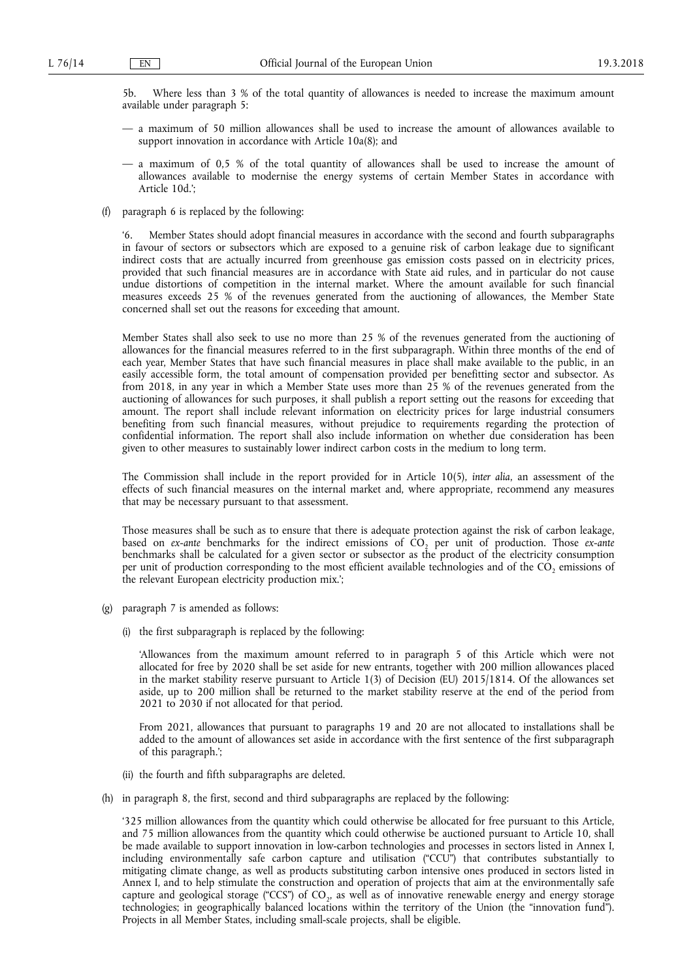5b. Where less than 3 % of the total quantity of allowances is needed to increase the maximum amount available under paragraph 5:

- a maximum of 50 million allowances shall be used to increase the amount of allowances available to support innovation in accordance with Article 10a(8); and
- a maximum of 0,5 % of the total quantity of allowances shall be used to increase the amount of allowances available to modernise the energy systems of certain Member States in accordance with Article 10d.';
- (f) paragraph 6 is replaced by the following:

'6. Member States should adopt financial measures in accordance with the second and fourth subparagraphs in favour of sectors or subsectors which are exposed to a genuine risk of carbon leakage due to significant indirect costs that are actually incurred from greenhouse gas emission costs passed on in electricity prices, provided that such financial measures are in accordance with State aid rules, and in particular do not cause undue distortions of competition in the internal market. Where the amount available for such financial measures exceeds 25 % of the revenues generated from the auctioning of allowances, the Member State concerned shall set out the reasons for exceeding that amount.

Member States shall also seek to use no more than 25 % of the revenues generated from the auctioning of allowances for the financial measures referred to in the first subparagraph. Within three months of the end of each year, Member States that have such financial measures in place shall make available to the public, in an easily accessible form, the total amount of compensation provided per benefitting sector and subsector. As from 2018, in any year in which a Member State uses more than 25 % of the revenues generated from the auctioning of allowances for such purposes, it shall publish a report setting out the reasons for exceeding that amount. The report shall include relevant information on electricity prices for large industrial consumers benefiting from such financial measures, without prejudice to requirements regarding the protection of confidential information. The report shall also include information on whether due consideration has been given to other measures to sustainably lower indirect carbon costs in the medium to long term.

The Commission shall include in the report provided for in Article 10(5), *inter alia*, an assessment of the effects of such financial measures on the internal market and, where appropriate, recommend any measures that may be necessary pursuant to that assessment.

Those measures shall be such as to ensure that there is adequate protection against the risk of carbon leakage, based on *ex-ante* benchmarks for the indirect emissions of  $CO<sub>2</sub>$  per unit of production. Those *ex-ante* benchmarks shall be calculated for a given sector or subsector as the product of the electricity consumption per unit of production corresponding to the most efficient available technologies and of the CO<sub>2</sub> emissions of the relevant European electricity production mix.';

- (g) paragraph 7 is amended as follows:
	- (i) the first subparagraph is replaced by the following:

'Allowances from the maximum amount referred to in paragraph 5 of this Article which were not allocated for free by 2020 shall be set aside for new entrants, together with 200 million allowances placed in the market stability reserve pursuant to Article 1(3) of Decision (EU) 2015/1814. Of the allowances set aside, up to 200 million shall be returned to the market stability reserve at the end of the period from 2021 to 2030 if not allocated for that period.

From 2021, allowances that pursuant to paragraphs 19 and 20 are not allocated to installations shall be added to the amount of allowances set aside in accordance with the first sentence of the first subparagraph of this paragraph.';

- (ii) the fourth and fifth subparagraphs are deleted.
- (h) in paragraph 8, the first, second and third subparagraphs are replaced by the following:

'325 million allowances from the quantity which could otherwise be allocated for free pursuant to this Article, and 75 million allowances from the quantity which could otherwise be auctioned pursuant to Article 10, shall be made available to support innovation in low-carbon technologies and processes in sectors listed in Annex I, including environmentally safe carbon capture and utilisation ("CCU") that contributes substantially to mitigating climate change, as well as products substituting carbon intensive ones produced in sectors listed in Annex I, and to help stimulate the construction and operation of projects that aim at the environmentally safe capture and geological storage ("CCS") of CO<sub>2</sub>, as well as of innovative renewable energy and energy storage technologies; in geographically balanced locations within the territory of the Union (the "innovation fund"). Projects in all Member States, including small-scale projects, shall be eligible.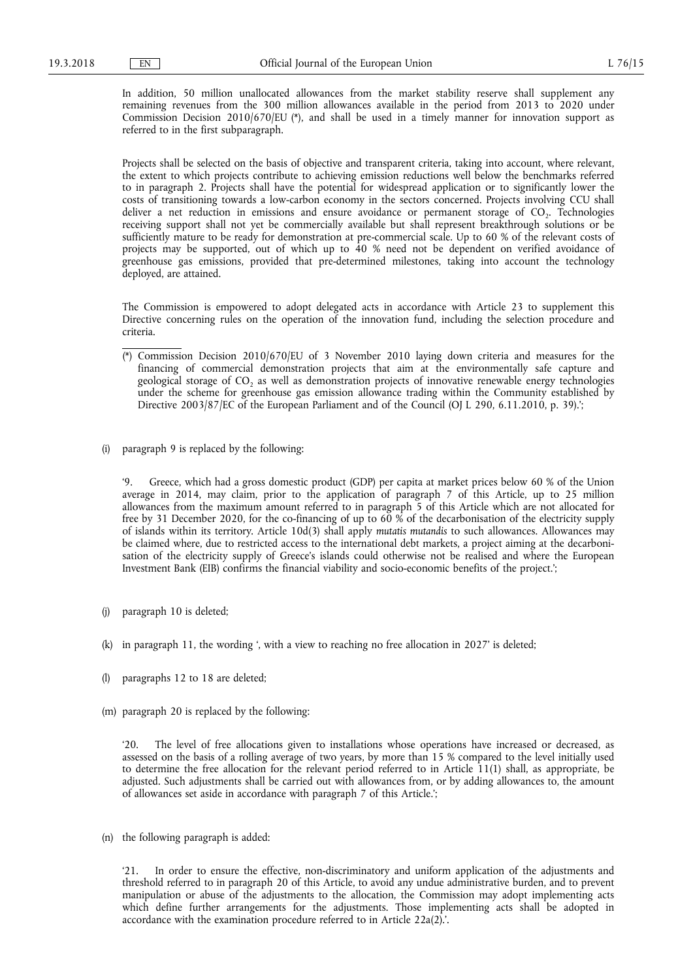In addition, 50 million unallocated allowances from the market stability reserve shall supplement any remaining revenues from the 300 million allowances available in the period from 2013 to 2020 under Commission Decision 2010/670/EU (\*), and shall be used in a timely manner for innovation support as referred to in the first subparagraph.

Projects shall be selected on the basis of objective and transparent criteria, taking into account, where relevant, the extent to which projects contribute to achieving emission reductions well below the benchmarks referred to in paragraph 2. Projects shall have the potential for widespread application or to significantly lower the costs of transitioning towards a low-carbon economy in the sectors concerned. Projects involving CCU shall deliver a net reduction in emissions and ensure avoidance or permanent storage of CO<sub>2</sub>. Technologies receiving support shall not yet be commercially available but shall represent breakthrough solutions or be sufficiently mature to be ready for demonstration at pre-commercial scale. Up to 60 % of the relevant costs of projects may be supported, out of which up to 40 % need not be dependent on verified avoidance of greenhouse gas emissions, provided that pre-determined milestones, taking into account the technology deployed, are attained.

The Commission is empowered to adopt delegated acts in accordance with Article 23 to supplement this Directive concerning rules on the operation of the innovation fund, including the selection procedure and criteria.

- (\*) Commission Decision 2010/670/EU of 3 November 2010 laying down criteria and measures for the financing of commercial demonstration projects that aim at the environmentally safe capture and geological storage of CO<sub>2</sub> as well as demonstration projects of innovative renewable energy technologies under the scheme for greenhouse gas emission allowance trading within the Community established by Directive 2003/87/EC of the European Parliament and of the Council (OJ L 290, 6.11.2010, p. 39).';
- (i) paragraph 9 is replaced by the following:

'9. Greece, which had a gross domestic product (GDP) per capita at market prices below 60 % of the Union average in 2014, may claim, prior to the application of paragraph 7 of this Article, up to 25 million allowances from the maximum amount referred to in paragraph 5 of this Article which are not allocated for free by 31 December 2020, for the co-financing of up to 60 % of the decarbonisation of the electricity supply of islands within its territory. Article 10d(3) shall apply *mutatis mutandis* to such allowances. Allowances may be claimed where, due to restricted access to the international debt markets, a project aiming at the decarbonisation of the electricity supply of Greece's islands could otherwise not be realised and where the European Investment Bank (EIB) confirms the financial viability and socio-economic benefits of the project.';

- (j) paragraph 10 is deleted;
- (k) in paragraph 11, the wording ', with a view to reaching no free allocation in 2027' is deleted;
- (l) paragraphs 12 to 18 are deleted;
- (m) paragraph 20 is replaced by the following:

The level of free allocations given to installations whose operations have increased or decreased, as assessed on the basis of a rolling average of two years, by more than 15 % compared to the level initially used to determine the free allocation for the relevant period referred to in Article 11(1) shall, as appropriate, be adjusted. Such adjustments shall be carried out with allowances from, or by adding allowances to, the amount of allowances set aside in accordance with paragraph 7 of this Article.';

(n) the following paragraph is added:

'21. In order to ensure the effective, non-discriminatory and uniform application of the adjustments and threshold referred to in paragraph 20 of this Article, to avoid any undue administrative burden, and to prevent manipulation or abuse of the adjustments to the allocation, the Commission may adopt implementing acts which define further arrangements for the adjustments. Those implementing acts shall be adopted in accordance with the examination procedure referred to in Article 22a(2).'.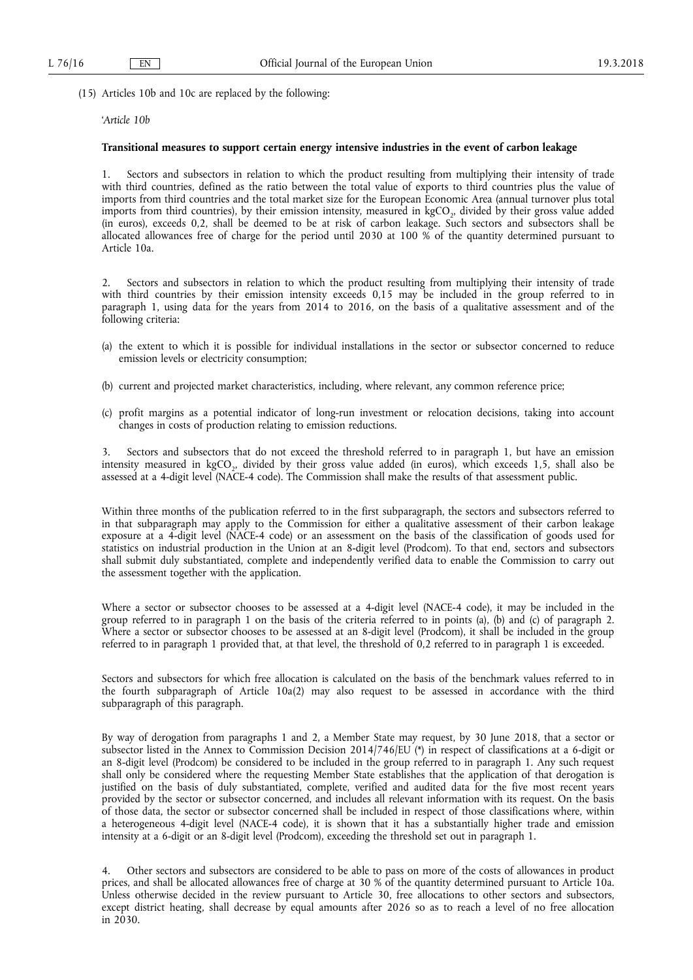(15) Articles 10b and 10c are replaced by the following:

# '*Article 10b*

# **Transitional measures to support certain energy intensive industries in the event of carbon leakage**

1. Sectors and subsectors in relation to which the product resulting from multiplying their intensity of trade with third countries, defined as the ratio between the total value of exports to third countries plus the value of imports from third countries and the total market size for the European Economic Area (annual turnover plus total imports from third countries), by their emission intensity, measured in kgCO<sub>2</sub>, divided by their gross value added (in euros), exceeds 0,2, shall be deemed to be at risk of carbon leakage. Such sectors and subsectors shall be allocated allowances free of charge for the period until 2030 at 100 % of the quantity determined pursuant to Article 10a.

2. Sectors and subsectors in relation to which the product resulting from multiplying their intensity of trade with third countries by their emission intensity exceeds 0,15 may be included in the group referred to in paragraph 1, using data for the years from 2014 to 2016, on the basis of a qualitative assessment and of the following criteria:

- (a) the extent to which it is possible for individual installations in the sector or subsector concerned to reduce emission levels or electricity consumption;
- (b) current and projected market characteristics, including, where relevant, any common reference price;
- (c) profit margins as a potential indicator of long-run investment or relocation decisions, taking into account changes in costs of production relating to emission reductions.

3. Sectors and subsectors that do not exceed the threshold referred to in paragraph 1, but have an emission intensity measured in kgCO<sub>2</sub>, divided by their gross value added (in euros), which exceeds 1,5, shall also be assessed at a 4-digit level (NACE-4 code). The Commission shall make the results of that assessment public.

Within three months of the publication referred to in the first subparagraph, the sectors and subsectors referred to in that subparagraph may apply to the Commission for either a qualitative assessment of their carbon leakage exposure at a 4-digit level (NACE-4 code) or an assessment on the basis of the classification of goods used for statistics on industrial production in the Union at an 8-digit level (Prodcom). To that end, sectors and subsectors shall submit duly substantiated, complete and independently verified data to enable the Commission to carry out the assessment together with the application.

Where a sector or subsector chooses to be assessed at a 4-digit level (NACE-4 code), it may be included in the group referred to in paragraph 1 on the basis of the criteria referred to in points (a), (b) and (c) of paragraph 2. Where a sector or subsector chooses to be assessed at an 8-digit level (Prodcom), it shall be included in the group referred to in paragraph 1 provided that, at that level, the threshold of 0,2 referred to in paragraph 1 is exceeded.

Sectors and subsectors for which free allocation is calculated on the basis of the benchmark values referred to in the fourth subparagraph of Article 10a(2) may also request to be assessed in accordance with the third subparagraph of this paragraph.

By way of derogation from paragraphs 1 and 2, a Member State may request, by 30 June 2018, that a sector or subsector listed in the Annex to Commission Decision 2014/746/EU (\*) in respect of classifications at a 6-digit or an 8-digit level (Prodcom) be considered to be included in the group referred to in paragraph 1. Any such request shall only be considered where the requesting Member State establishes that the application of that derogation is justified on the basis of duly substantiated, complete, verified and audited data for the five most recent years provided by the sector or subsector concerned, and includes all relevant information with its request. On the basis of those data, the sector or subsector concerned shall be included in respect of those classifications where, within a heterogeneous 4-digit level (NACE-4 code), it is shown that it has a substantially higher trade and emission intensity at a 6-digit or an 8-digit level (Prodcom), exceeding the threshold set out in paragraph 1.

4. Other sectors and subsectors are considered to be able to pass on more of the costs of allowances in product prices, and shall be allocated allowances free of charge at 30 % of the quantity determined pursuant to Article 10a. Unless otherwise decided in the review pursuant to Article 30, free allocations to other sectors and subsectors, except district heating, shall decrease by equal amounts after 2026 so as to reach a level of no free allocation in 2030.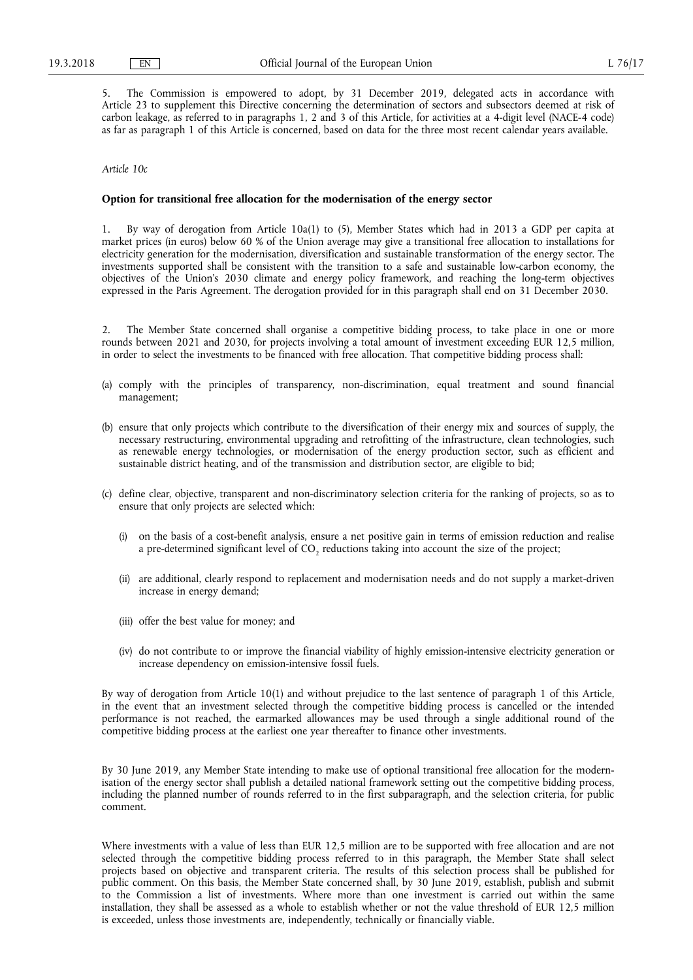5. The Commission is empowered to adopt, by 31 December 2019, delegated acts in accordance with Article 23 to supplement this Directive concerning the determination of sectors and subsectors deemed at risk of carbon leakage, as referred to in paragraphs 1, 2 and 3 of this Article, for activities at a 4-digit level (NACE-4 code) as far as paragraph 1 of this Article is concerned, based on data for the three most recent calendar years available.

#### *Article 10c*

#### **Option for transitional free allocation for the modernisation of the energy sector**

1. By way of derogation from Article 10a(1) to (5), Member States which had in 2013 a GDP per capita at market prices (in euros) below 60 % of the Union average may give a transitional free allocation to installations for electricity generation for the modernisation, diversification and sustainable transformation of the energy sector. The investments supported shall be consistent with the transition to a safe and sustainable low-carbon economy, the objectives of the Union's 2030 climate and energy policy framework, and reaching the long-term objectives expressed in the Paris Agreement. The derogation provided for in this paragraph shall end on 31 December 2030.

2. The Member State concerned shall organise a competitive bidding process, to take place in one or more rounds between 2021 and 2030, for projects involving a total amount of investment exceeding EUR 12,5 million, in order to select the investments to be financed with free allocation. That competitive bidding process shall:

- (a) comply with the principles of transparency, non-discrimination, equal treatment and sound financial management;
- (b) ensure that only projects which contribute to the diversification of their energy mix and sources of supply, the necessary restructuring, environmental upgrading and retrofitting of the infrastructure, clean technologies, such as renewable energy technologies, or modernisation of the energy production sector, such as efficient and sustainable district heating, and of the transmission and distribution sector, are eligible to bid;
- (c) define clear, objective, transparent and non-discriminatory selection criteria for the ranking of projects, so as to ensure that only projects are selected which:
	- (i) on the basis of a cost-benefit analysis, ensure a net positive gain in terms of emission reduction and realise a pre-determined significant level of CO<sub>2</sub> reductions taking into account the size of the project;
	- (ii) are additional, clearly respond to replacement and modernisation needs and do not supply a market-driven increase in energy demand;
	- (iii) offer the best value for money; and
	- (iv) do not contribute to or improve the financial viability of highly emission-intensive electricity generation or increase dependency on emission-intensive fossil fuels.

By way of derogation from Article 10(1) and without prejudice to the last sentence of paragraph 1 of this Article, in the event that an investment selected through the competitive bidding process is cancelled or the intended performance is not reached, the earmarked allowances may be used through a single additional round of the competitive bidding process at the earliest one year thereafter to finance other investments.

By 30 June 2019, any Member State intending to make use of optional transitional free allocation for the modernisation of the energy sector shall publish a detailed national framework setting out the competitive bidding process, including the planned number of rounds referred to in the first subparagraph, and the selection criteria, for public comment.

Where investments with a value of less than EUR 12,5 million are to be supported with free allocation and are not selected through the competitive bidding process referred to in this paragraph, the Member State shall select projects based on objective and transparent criteria. The results of this selection process shall be published for public comment. On this basis, the Member State concerned shall, by 30 June 2019, establish, publish and submit to the Commission a list of investments. Where more than one investment is carried out within the same installation, they shall be assessed as a whole to establish whether or not the value threshold of EUR 12,5 million is exceeded, unless those investments are, independently, technically or financially viable.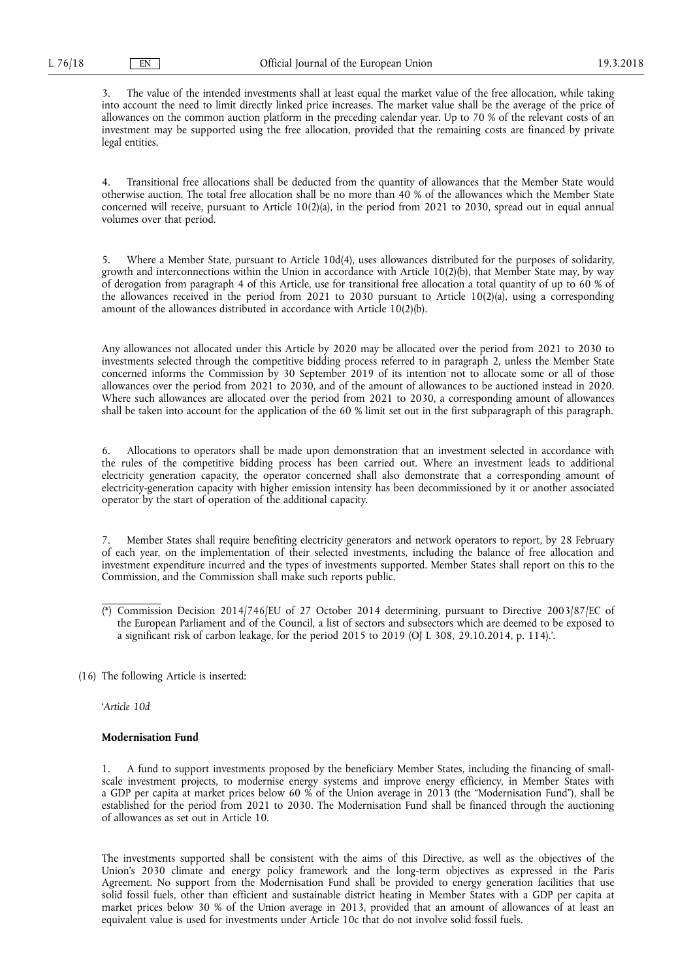3. The value of the intended investments shall at least equal the market value of the free allocation, while taking into account the need to limit directly linked price increases. The market value shall be the average of the price of allowances on the common auction platform in the preceding calendar year. Up to 70 % of the relevant costs of an investment may be supported using the free allocation, provided that the remaining costs are financed by private legal entities.

4. Transitional free allocations shall be deducted from the quantity of allowances that the Member State would otherwise auction. The total free allocation shall be no more than 40 % of the allowances which the Member State concerned will receive, pursuant to Article 10(2)(a), in the period from 2021 to 2030, spread out in equal annual volumes over that period.

5. Where a Member State, pursuant to Article 10d(4), uses allowances distributed for the purposes of solidarity, growth and interconnections within the Union in accordance with Article 10(2)(b), that Member State may, by way of derogation from paragraph 4 of this Article, use for transitional free allocation a total quantity of up to 60 % of the allowances received in the period from 2021 to 2030 pursuant to Article  $10(2)(a)$ , using a corresponding amount of the allowances distributed in accordance with Article 10(2)(b).

Any allowances not allocated under this Article by 2020 may be allocated over the period from 2021 to 2030 to investments selected through the competitive bidding process referred to in paragraph 2, unless the Member State concerned informs the Commission by 30 September 2019 of its intention not to allocate some or all of those allowances over the period from 2021 to 2030, and of the amount of allowances to be auctioned instead in 2020. Where such allowances are allocated over the period from 2021 to 2030, a corresponding amount of allowances shall be taken into account for the application of the 60 % limit set out in the first subparagraph of this paragraph.

6. Allocations to operators shall be made upon demonstration that an investment selected in accordance with the rules of the competitive bidding process has been carried out. Where an investment leads to additional electricity generation capacity, the operator concerned shall also demonstrate that a corresponding amount of electricity-generation capacity with higher emission intensity has been decommissioned by it or another associated operator by the start of operation of the additional capacity.

7. Member States shall require benefiting electricity generators and network operators to report, by 28 February of each year, on the implementation of their selected investments, including the balance of free allocation and investment expenditure incurred and the types of investments supported. Member States shall report on this to the Commission, and the Commission shall make such reports public.

- (\*) Commission Decision 2014/746/EU of 27 October 2014 determining, pursuant to Directive 2003/87/EC of the European Parliament and of the Council, a list of sectors and subsectors which are deemed to be exposed to a significant risk of carbon leakage, for the period 2015 to 2019 (OJ L 308, 29.10.2014, p. 114).'.
- (16) The following Article is inserted:

'*Article 10d* 

## **Modernisation Fund**

1. A fund to support investments proposed by the beneficiary Member States, including the financing of smallscale investment projects, to modernise energy systems and improve energy efficiency, in Member States with a GDP per capita at market prices below 60 % of the Union average in 2013 (the "Modernisation Fund"), shall be established for the period from 2021 to 2030. The Modernisation Fund shall be financed through the auctioning of allowances as set out in Article 10.

The investments supported shall be consistent with the aims of this Directive, as well as the objectives of the Union's 2030 climate and energy policy framework and the long-term objectives as expressed in the Paris Agreement. No support from the Modernisation Fund shall be provided to energy generation facilities that use solid fossil fuels, other than efficient and sustainable district heating in Member States with a GDP per capita at market prices below 30 % of the Union average in 2013, provided that an amount of allowances of at least an equivalent value is used for investments under Article 10c that do not involve solid fossil fuels.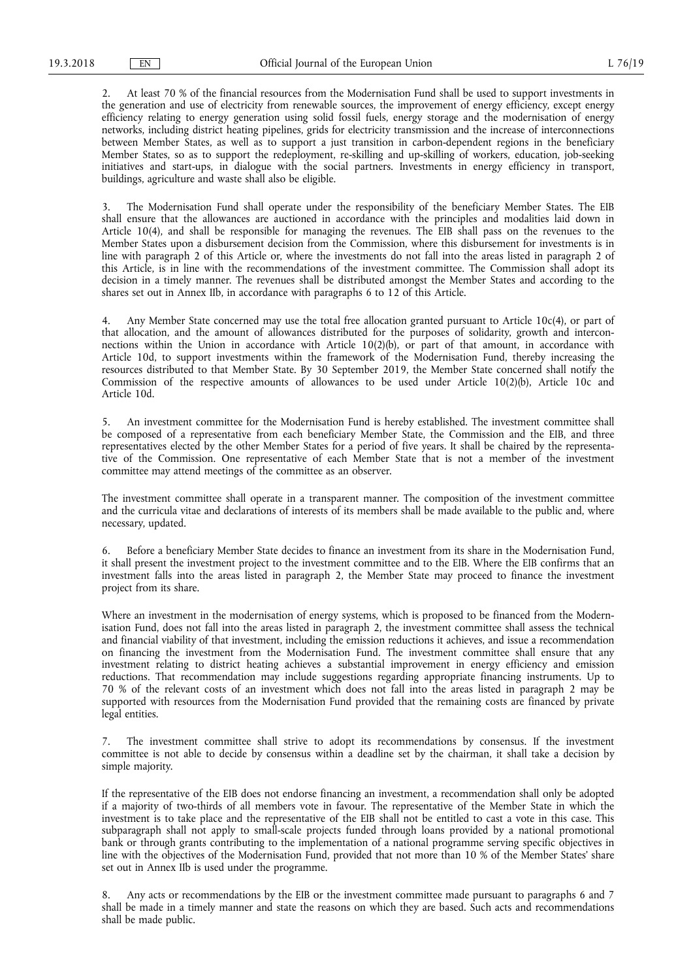2. At least 70 % of the financial resources from the Modernisation Fund shall be used to support investments in the generation and use of electricity from renewable sources, the improvement of energy efficiency, except energy efficiency relating to energy generation using solid fossil fuels, energy storage and the modernisation of energy networks, including district heating pipelines, grids for electricity transmission and the increase of interconnections between Member States, as well as to support a just transition in carbon-dependent regions in the beneficiary Member States, so as to support the redeployment, re-skilling and up-skilling of workers, education, job-seeking initiatives and start-ups, in dialogue with the social partners. Investments in energy efficiency in transport, buildings, agriculture and waste shall also be eligible.

3. The Modernisation Fund shall operate under the responsibility of the beneficiary Member States. The EIB shall ensure that the allowances are auctioned in accordance with the principles and modalities laid down in Article 10(4), and shall be responsible for managing the revenues. The EIB shall pass on the revenues to the Member States upon a disbursement decision from the Commission, where this disbursement for investments is in line with paragraph 2 of this Article or, where the investments do not fall into the areas listed in paragraph 2 of this Article, is in line with the recommendations of the investment committee. The Commission shall adopt its decision in a timely manner. The revenues shall be distributed amongst the Member States and according to the shares set out in Annex IIb, in accordance with paragraphs 6 to 12 of this Article.

4. Any Member State concerned may use the total free allocation granted pursuant to Article 10c(4), or part of that allocation, and the amount of allowances distributed for the purposes of solidarity, growth and interconnections within the Union in accordance with Article 10(2)(b), or part of that amount, in accordance with Article 10d, to support investments within the framework of the Modernisation Fund, thereby increasing the resources distributed to that Member State. By 30 September 2019, the Member State concerned shall notify the Commission of the respective amounts of allowances to be used under Article 10(2)(b), Article 10c and Article 10d.

5. An investment committee for the Modernisation Fund is hereby established. The investment committee shall be composed of a representative from each beneficiary Member State, the Commission and the EIB, and three representatives elected by the other Member States for a period of five years. It shall be chaired by the representative of the Commission. One representative of each Member State that is not a member of the investment committee may attend meetings of the committee as an observer.

The investment committee shall operate in a transparent manner. The composition of the investment committee and the curricula vitae and declarations of interests of its members shall be made available to the public and, where necessary, updated.

6. Before a beneficiary Member State decides to finance an investment from its share in the Modernisation Fund, it shall present the investment project to the investment committee and to the EIB. Where the EIB confirms that an investment falls into the areas listed in paragraph 2, the Member State may proceed to finance the investment project from its share.

Where an investment in the modernisation of energy systems, which is proposed to be financed from the Modernisation Fund, does not fall into the areas listed in paragraph 2, the investment committee shall assess the technical and financial viability of that investment, including the emission reductions it achieves, and issue a recommendation on financing the investment from the Modernisation Fund. The investment committee shall ensure that any investment relating to district heating achieves a substantial improvement in energy efficiency and emission reductions. That recommendation may include suggestions regarding appropriate financing instruments. Up to 70 % of the relevant costs of an investment which does not fall into the areas listed in paragraph 2 may be supported with resources from the Modernisation Fund provided that the remaining costs are financed by private legal entities.

7. The investment committee shall strive to adopt its recommendations by consensus. If the investment committee is not able to decide by consensus within a deadline set by the chairman, it shall take a decision by simple majority.

If the representative of the EIB does not endorse financing an investment, a recommendation shall only be adopted if a majority of two-thirds of all members vote in favour. The representative of the Member State in which the investment is to take place and the representative of the EIB shall not be entitled to cast a vote in this case. This subparagraph shall not apply to small-scale projects funded through loans provided by a national promotional bank or through grants contributing to the implementation of a national programme serving specific objectives in line with the objectives of the Modernisation Fund, provided that not more than 10 % of the Member States' share set out in Annex IIb is used under the programme.

8. Any acts or recommendations by the EIB or the investment committee made pursuant to paragraphs 6 and 7 shall be made in a timely manner and state the reasons on which they are based. Such acts and recommendations shall be made public.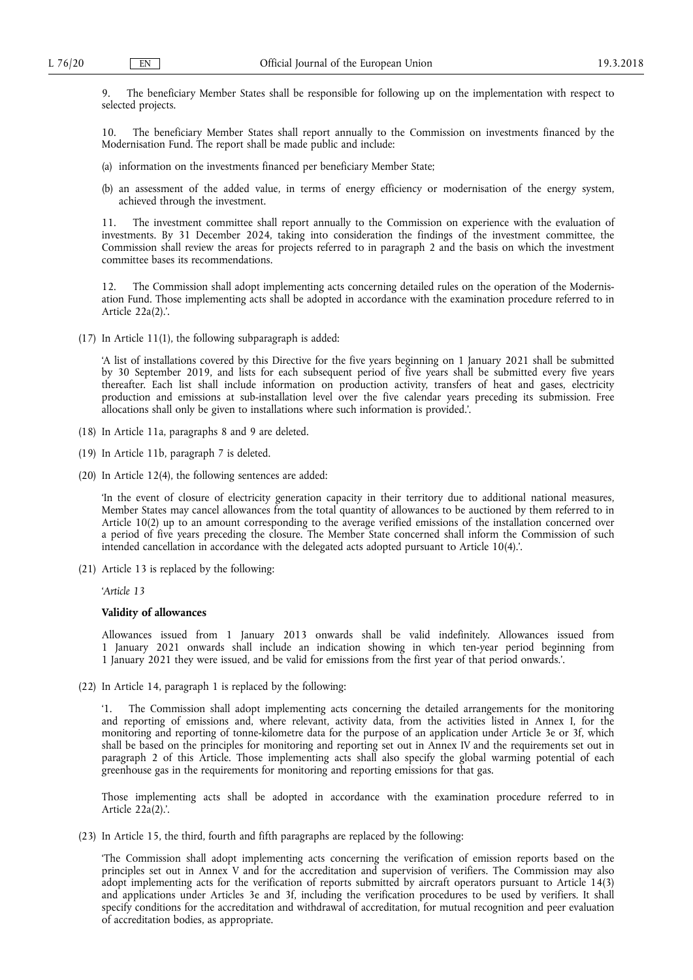9. The beneficiary Member States shall be responsible for following up on the implementation with respect to selected projects.

10. The beneficiary Member States shall report annually to the Commission on investments financed by the Modernisation Fund. The report shall be made public and include:

- (a) information on the investments financed per beneficiary Member State;
- (b) an assessment of the added value, in terms of energy efficiency or modernisation of the energy system, achieved through the investment.

11. The investment committee shall report annually to the Commission on experience with the evaluation of investments. By 31 December 2024, taking into consideration the findings of the investment committee, the Commission shall review the areas for projects referred to in paragraph 2 and the basis on which the investment committee bases its recommendations.

The Commission shall adopt implementing acts concerning detailed rules on the operation of the Modernisation Fund. Those implementing acts shall be adopted in accordance with the examination procedure referred to in Article 22a(2).'.

(17) In Article 11(1), the following subparagraph is added:

'A list of installations covered by this Directive for the five years beginning on 1 January 2021 shall be submitted by 30 September 2019, and lists for each subsequent period of five years shall be submitted every five years thereafter. Each list shall include information on production activity, transfers of heat and gases, electricity production and emissions at sub-installation level over the five calendar years preceding its submission. Free allocations shall only be given to installations where such information is provided.'.

- (18) In Article 11a, paragraphs 8 and 9 are deleted.
- (19) In Article 11b, paragraph 7 is deleted.
- (20) In Article 12(4), the following sentences are added:

'In the event of closure of electricity generation capacity in their territory due to additional national measures, Member States may cancel allowances from the total quantity of allowances to be auctioned by them referred to in Article 10(2) up to an amount corresponding to the average verified emissions of the installation concerned over a period of five years preceding the closure. The Member State concerned shall inform the Commission of such intended cancellation in accordance with the delegated acts adopted pursuant to Article 10(4).'.

(21) Article 13 is replaced by the following:

'*Article 13* 

#### **Validity of allowances**

Allowances issued from 1 January 2013 onwards shall be valid indefinitely. Allowances issued from 1 January 2021 onwards shall include an indication showing in which ten-year period beginning from 1 January 2021 they were issued, and be valid for emissions from the first year of that period onwards.'.

(22) In Article 14, paragraph 1 is replaced by the following:

'1. The Commission shall adopt implementing acts concerning the detailed arrangements for the monitoring and reporting of emissions and, where relevant, activity data, from the activities listed in Annex I, for the monitoring and reporting of tonne-kilometre data for the purpose of an application under Article 3e or 3f, which shall be based on the principles for monitoring and reporting set out in Annex IV and the requirements set out in paragraph 2 of this Article. Those implementing acts shall also specify the global warming potential of each greenhouse gas in the requirements for monitoring and reporting emissions for that gas.

Those implementing acts shall be adopted in accordance with the examination procedure referred to in Article 22a(2).'.

(23) In Article 15, the third, fourth and fifth paragraphs are replaced by the following:

'The Commission shall adopt implementing acts concerning the verification of emission reports based on the principles set out in Annex V and for the accreditation and supervision of verifiers. The Commission may also adopt implementing acts for the verification of reports submitted by aircraft operators pursuant to Article 14(3) and applications under Articles 3e and 3f, including the verification procedures to be used by verifiers. It shall specify conditions for the accreditation and withdrawal of accreditation, for mutual recognition and peer evaluation of accreditation bodies, as appropriate.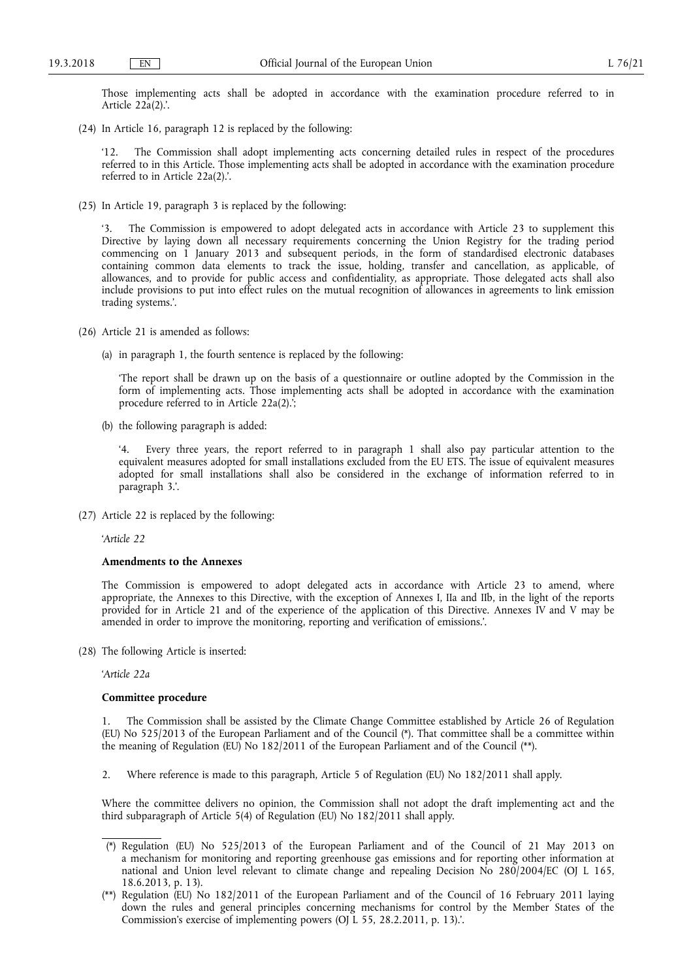Those implementing acts shall be adopted in accordance with the examination procedure referred to in Article 22a(2).'.

(24) In Article 16, paragraph 12 is replaced by the following:

'12. The Commission shall adopt implementing acts concerning detailed rules in respect of the procedures referred to in this Article. Those implementing acts shall be adopted in accordance with the examination procedure referred to in Article 22a(2).'.

(25) In Article 19, paragraph 3 is replaced by the following:

The Commission is empowered to adopt delegated acts in accordance with Article 23 to supplement this Directive by laying down all necessary requirements concerning the Union Registry for the trading period commencing on 1 January 2013 and subsequent periods, in the form of standardised electronic databases containing common data elements to track the issue, holding, transfer and cancellation, as applicable, of allowances, and to provide for public access and confidentiality, as appropriate. Those delegated acts shall also include provisions to put into effect rules on the mutual recognition of allowances in agreements to link emission trading systems.'.

- (26) Article 21 is amended as follows:
	- (a) in paragraph 1, the fourth sentence is replaced by the following:

'The report shall be drawn up on the basis of a questionnaire or outline adopted by the Commission in the form of implementing acts. Those implementing acts shall be adopted in accordance with the examination procedure referred to in Article 22a(2). $\cdot$ ;

(b) the following paragraph is added:

Every three years, the report referred to in paragraph 1 shall also pay particular attention to the equivalent measures adopted for small installations excluded from the EU ETS. The issue of equivalent measures adopted for small installations shall also be considered in the exchange of information referred to in paragraph 3.'.

(27) Article 22 is replaced by the following:

'*Article 22* 

#### **Amendments to the Annexes**

The Commission is empowered to adopt delegated acts in accordance with Article 23 to amend, where appropriate, the Annexes to this Directive, with the exception of Annexes I, IIa and IIb, in the light of the reports provided for in Article 21 and of the experience of the application of this Directive. Annexes IV and V may be amended in order to improve the monitoring, reporting and verification of emissions.'.

(28) The following Article is inserted:

'*Article 22a* 

## **Committee procedure**

1. The Commission shall be assisted by the Climate Change Committee established by Article 26 of Regulation (EU) No 525/2013 of the European Parliament and of the Council (\*). That committee shall be a committee within the meaning of Regulation (EU) No 182/2011 of the European Parliament and of the Council (\*\*).

2. Where reference is made to this paragraph, Article 5 of Regulation (EU) No 182/2011 shall apply.

Where the committee delivers no opinion, the Commission shall not adopt the draft implementing act and the third subparagraph of Article 5(4) of Regulation (EU) No 182/2011 shall apply.

- (\*) Regulation (EU) No 525/2013 of the European Parliament and of the Council of 21 May 2013 on a mechanism for monitoring and reporting greenhouse gas emissions and for reporting other information at national and Union level relevant to climate change and repealing Decision No 280/2004/EC (OJ L 165, 18.6.2013, p. 13).
- (\*\*) Regulation (EU) No 182/2011 of the European Parliament and of the Council of 16 February 2011 laying down the rules and general principles concerning mechanisms for control by the Member States of the Commission's exercise of implementing powers (OJ L 55, 28.2.2011, p. 13).'.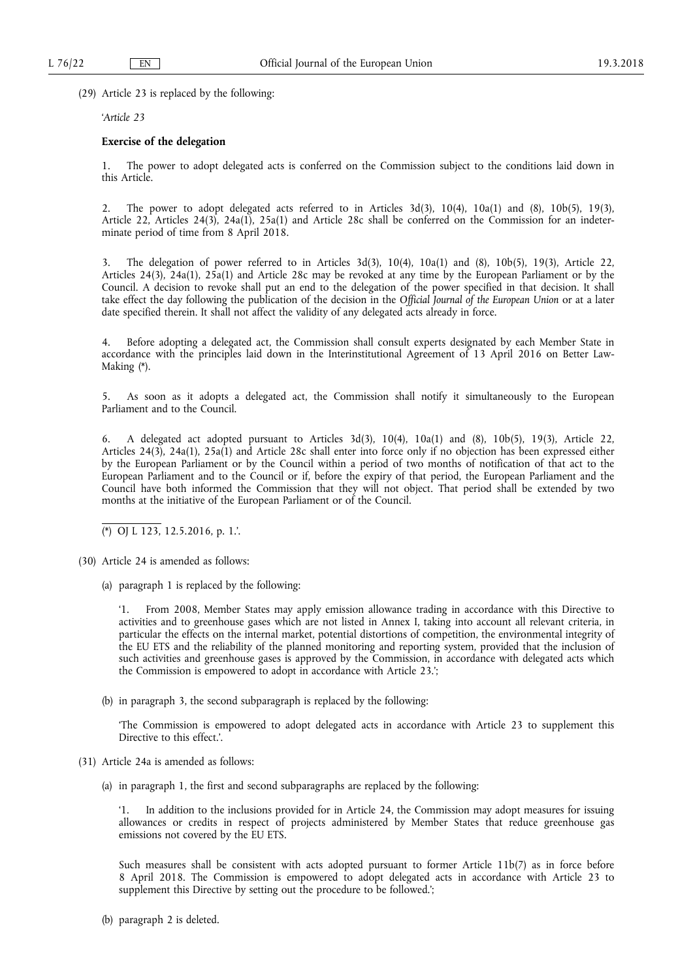(29) Article 23 is replaced by the following:

'*Article 23* 

## **Exercise of the delegation**

1. The power to adopt delegated acts is conferred on the Commission subject to the conditions laid down in this Article.

2. The power to adopt delegated acts referred to in Articles  $3d(3)$ ,  $10(4)$ ,  $10a(1)$  and  $(8)$ ,  $10b(5)$ ,  $19(3)$ , Article 22, Articles 24(3), 24a(1), 25a(1) and Article 28c shall be conferred on the Commission for an indeterminate period of time from 8 April 2018.

3. The delegation of power referred to in Articles 3d(3), 10(4), 10a(1) and (8), 10b(5), 19(3), Article 22, Articles 24(3), 24a(1), 25a(1) and Article 28c may be revoked at any time by the European Parliament or by the Council. A decision to revoke shall put an end to the delegation of the power specified in that decision. It shall take effect the day following the publication of the decision in the *Official Journal of the European Union* or at a later date specified therein. It shall not affect the validity of any delegated acts already in force.

4. Before adopting a delegated act, the Commission shall consult experts designated by each Member State in accordance with the principles laid down in the Interinstitutional Agreement of 13 April 2016 on Better Law-Making (\*).

5. As soon as it adopts a delegated act, the Commission shall notify it simultaneously to the European Parliament and to the Council.

6. A delegated act adopted pursuant to Articles 3d(3), 10(4), 10a(1) and (8), 10b(5), 19(3), Article 22, Articles 24(3), 24a(1), 25a(1) and Article 28c shall enter into force only if no objection has been expressed either by the European Parliament or by the Council within a period of two months of notification of that act to the European Parliament and to the Council or if, before the expiry of that period, the European Parliament and the Council have both informed the Commission that they will not object. That period shall be extended by two months at the initiative of the European Parliament or of the Council.

(\*) OJ L 123, 12.5.2016, p. 1.'.

- (30) Article 24 is amended as follows:
	- (a) paragraph 1 is replaced by the following:

'1. From 2008, Member States may apply emission allowance trading in accordance with this Directive to activities and to greenhouse gases which are not listed in Annex I, taking into account all relevant criteria, in particular the effects on the internal market, potential distortions of competition, the environmental integrity of the EU ETS and the reliability of the planned monitoring and reporting system, provided that the inclusion of such activities and greenhouse gases is approved by the Commission, in accordance with delegated acts which the Commission is empowered to adopt in accordance with Article 23.';

(b) in paragraph 3, the second subparagraph is replaced by the following:

'The Commission is empowered to adopt delegated acts in accordance with Article 23 to supplement this Directive to this effect.'.

- (31) Article 24a is amended as follows:
	- (a) in paragraph 1, the first and second subparagraphs are replaced by the following:

'1. In addition to the inclusions provided for in Article 24, the Commission may adopt measures for issuing allowances or credits in respect of projects administered by Member States that reduce greenhouse gas emissions not covered by the EU ETS.

Such measures shall be consistent with acts adopted pursuant to former Article 11b(7) as in force before 8 April 2018. The Commission is empowered to adopt delegated acts in accordance with Article 23 to supplement this Directive by setting out the procedure to be followed.';

(b) paragraph 2 is deleted.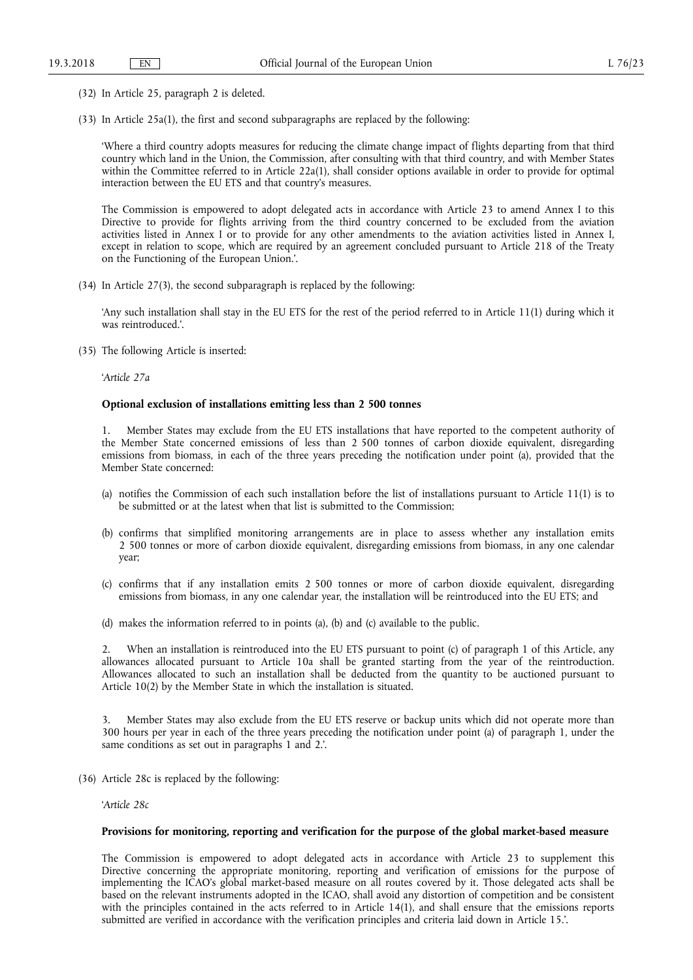- (32) In Article 25, paragraph 2 is deleted.
- (33) In Article 25a(1), the first and second subparagraphs are replaced by the following:

'Where a third country adopts measures for reducing the climate change impact of flights departing from that third country which land in the Union, the Commission, after consulting with that third country, and with Member States within the Committee referred to in Article 22a(1), shall consider options available in order to provide for optimal interaction between the EU ETS and that country's measures.

The Commission is empowered to adopt delegated acts in accordance with Article 23 to amend Annex I to this Directive to provide for flights arriving from the third country concerned to be excluded from the aviation activities listed in Annex I or to provide for any other amendments to the aviation activities listed in Annex I, except in relation to scope, which are required by an agreement concluded pursuant to Article 218 of the Treaty on the Functioning of the European Union.'.

(34) In Article 27(3), the second subparagraph is replaced by the following:

'Any such installation shall stay in the EU ETS for the rest of the period referred to in Article 11(1) during which it was reintroduced.'.

(35) The following Article is inserted:

'*Article 27a* 

#### **Optional exclusion of installations emitting less than 2 500 tonnes**

1. Member States may exclude from the EU ETS installations that have reported to the competent authority of the Member State concerned emissions of less than 2 500 tonnes of carbon dioxide equivalent, disregarding emissions from biomass, in each of the three years preceding the notification under point (a), provided that the Member State concerned:

- (a) notifies the Commission of each such installation before the list of installations pursuant to Article 11(1) is to be submitted or at the latest when that list is submitted to the Commission;
- (b) confirms that simplified monitoring arrangements are in place to assess whether any installation emits 2 500 tonnes or more of carbon dioxide equivalent, disregarding emissions from biomass, in any one calendar year;
- (c) confirms that if any installation emits 2 500 tonnes or more of carbon dioxide equivalent, disregarding emissions from biomass, in any one calendar year, the installation will be reintroduced into the EU ETS; and
- (d) makes the information referred to in points (a), (b) and (c) available to the public.

When an installation is reintroduced into the EU ETS pursuant to point (c) of paragraph 1 of this Article, any allowances allocated pursuant to Article 10a shall be granted starting from the year of the reintroduction. Allowances allocated to such an installation shall be deducted from the quantity to be auctioned pursuant to Article 10(2) by the Member State in which the installation is situated.

3. Member States may also exclude from the EU ETS reserve or backup units which did not operate more than 300 hours per year in each of the three years preceding the notification under point (a) of paragraph 1, under the same conditions as set out in paragraphs 1 and 2.'.

(36) Article 28c is replaced by the following:

'*Article 28c* 

#### **Provisions for monitoring, reporting and verification for the purpose of the global market-based measure**

The Commission is empowered to adopt delegated acts in accordance with Article 23 to supplement this Directive concerning the appropriate monitoring, reporting and verification of emissions for the purpose of implementing the ICAO's global market-based measure on all routes covered by it. Those delegated acts shall be based on the relevant instruments adopted in the ICAO, shall avoid any distortion of competition and be consistent with the principles contained in the acts referred to in Article 14(1), and shall ensure that the emissions reports submitted are verified in accordance with the verification principles and criteria laid down in Article 15.'.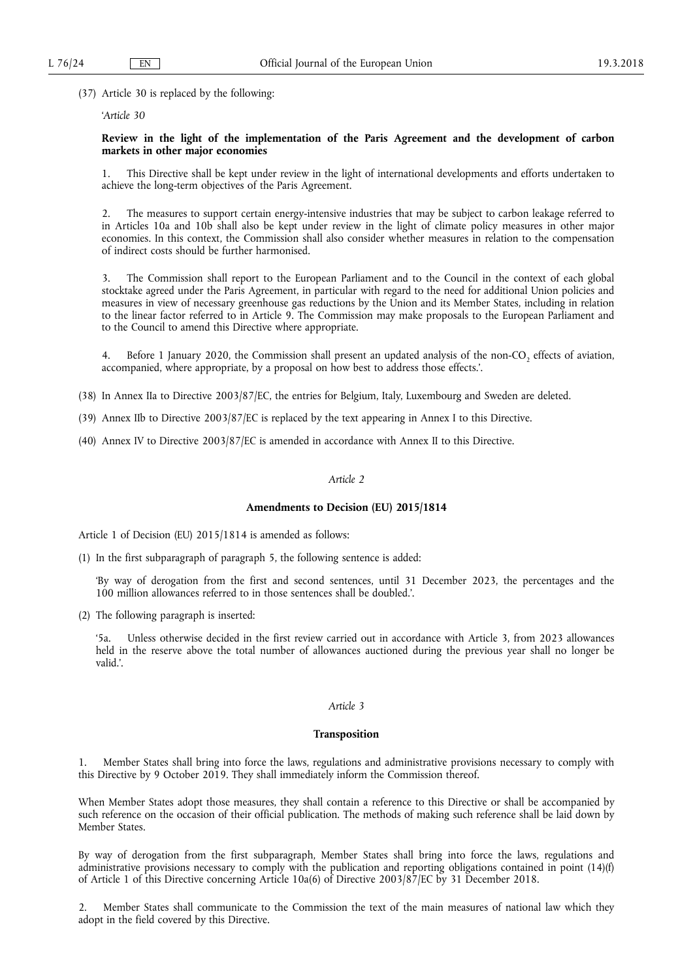(37) Article 30 is replaced by the following:

'*Article 30* 

# **Review in the light of the implementation of the Paris Agreement and the development of carbon markets in other major economies**

1. This Directive shall be kept under review in the light of international developments and efforts undertaken to achieve the long-term objectives of the Paris Agreement.

2. The measures to support certain energy-intensive industries that may be subject to carbon leakage referred to in Articles 10a and 10b shall also be kept under review in the light of climate policy measures in other major economies. In this context, the Commission shall also consider whether measures in relation to the compensation of indirect costs should be further harmonised.

3. The Commission shall report to the European Parliament and to the Council in the context of each global stocktake agreed under the Paris Agreement, in particular with regard to the need for additional Union policies and measures in view of necessary greenhouse gas reductions by the Union and its Member States, including in relation to the linear factor referred to in Article 9. The Commission may make proposals to the European Parliament and to the Council to amend this Directive where appropriate.

Before 1 January 2020, the Commission shall present an updated analysis of the non-CO<sub>2</sub> effects of aviation, accompanied, where appropriate, by a proposal on how best to address those effects.'.

- (38) In Annex IIa to Directive 2003/87/EC, the entries for Belgium, Italy, Luxembourg and Sweden are deleted.
- (39) Annex IIb to Directive 2003/87/EC is replaced by the text appearing in Annex I to this Directive.
- (40) Annex IV to Directive 2003/87/EC is amended in accordance with Annex II to this Directive.

#### *Article 2*

#### **Amendments to Decision (EU) 2015/1814**

Article 1 of Decision (EU) 2015/1814 is amended as follows:

(1) In the first subparagraph of paragraph 5, the following sentence is added:

'By way of derogation from the first and second sentences, until 31 December 2023, the percentages and the 100 million allowances referred to in those sentences shall be doubled.'.

(2) The following paragraph is inserted:

'5a. Unless otherwise decided in the first review carried out in accordance with Article 3, from 2023 allowances held in the reserve above the total number of allowances auctioned during the previous year shall no longer be valid.'.

# *Article 3*

#### **Transposition**

1. Member States shall bring into force the laws, regulations and administrative provisions necessary to comply with this Directive by 9 October 2019. They shall immediately inform the Commission thereof.

When Member States adopt those measures, they shall contain a reference to this Directive or shall be accompanied by such reference on the occasion of their official publication. The methods of making such reference shall be laid down by Member States.

By way of derogation from the first subparagraph, Member States shall bring into force the laws, regulations and administrative provisions necessary to comply with the publication and reporting obligations contained in point (14)(f) of Article 1 of this Directive concerning Article 10a(6) of Directive 2003/87/EC by 31 December 2018.

2. Member States shall communicate to the Commission the text of the main measures of national law which they adopt in the field covered by this Directive.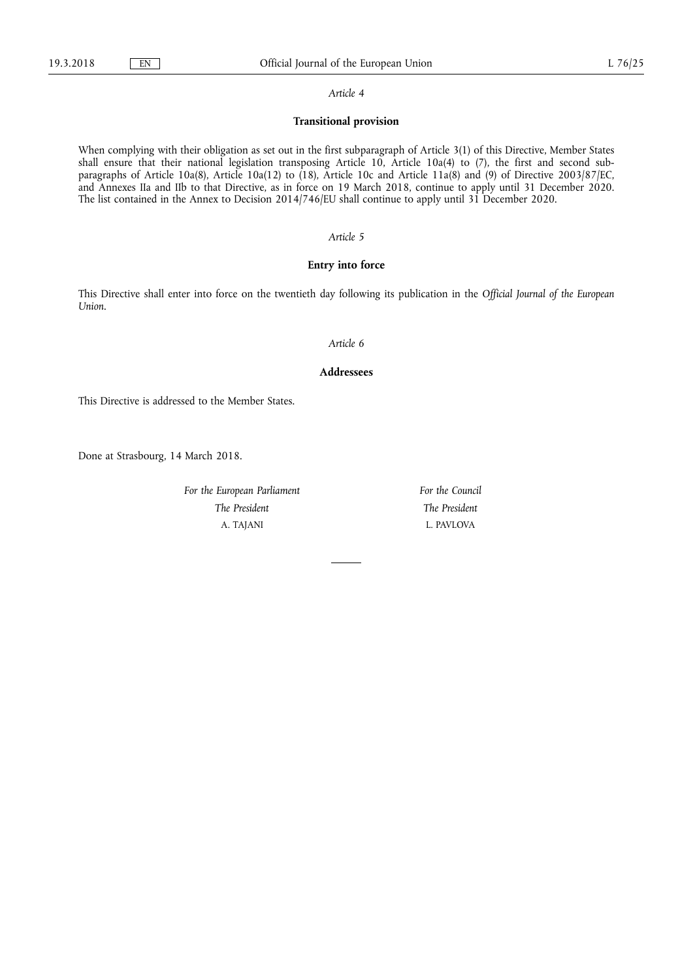#### *Article 4*

# **Transitional provision**

When complying with their obligation as set out in the first subparagraph of Article 3(1) of this Directive, Member States shall ensure that their national legislation transposing Article 10, Article 10a(4) to  $(7)$ , the first and second subparagraphs of Article 10a(8), Article 10a(12) to (18), Article 10c and Article 11a(8) and (9) of Directive 2003/87/EC, and Annexes IIa and IIb to that Directive, as in force on 19 March 2018, continue to apply until 31 December 2020. The list contained in the Annex to Decision 2014/746/EU shall continue to apply until 31 December 2020.

# *Article 5*

# **Entry into force**

This Directive shall enter into force on the twentieth day following its publication in the *Official Journal of the European Union*.

#### *Article 6*

#### **Addressees**

This Directive is addressed to the Member States.

Done at Strasbourg, 14 March 2018.

*For the European Parliament The President*  A. TAJANI

*For the Council The President*  L. PAVLOVA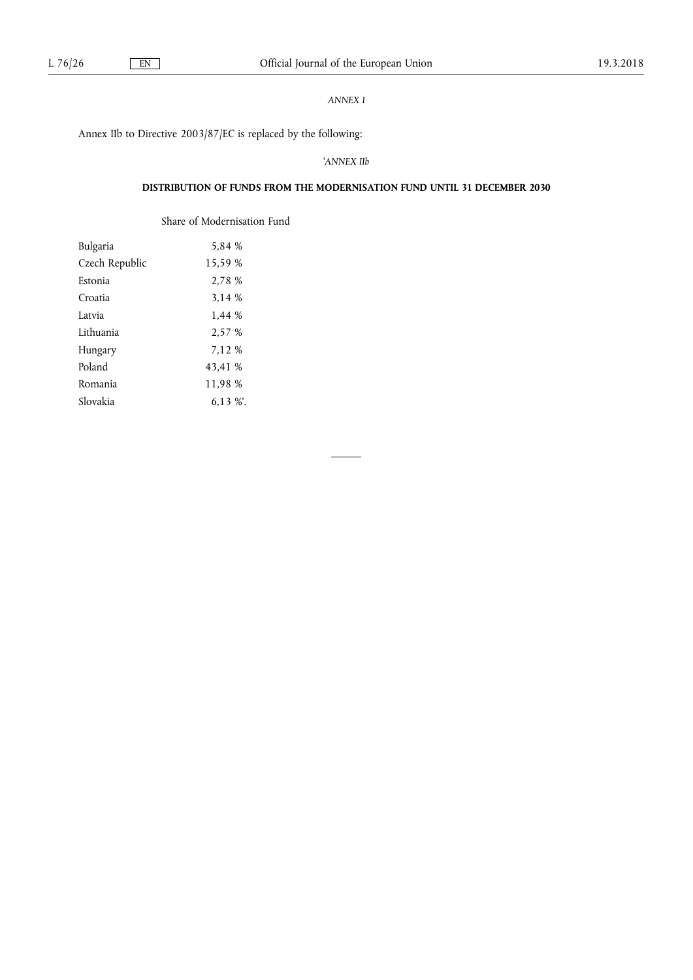# *ANNEX I*

Annex IIb to Directive 2003/87/EC is replaced by the following:

# '*ANNEX IIb*

# **DISTRIBUTION OF FUNDS FROM THE MODERNISATION FUND UNTIL 31 DECEMBER 2030**

Share of Modernisation Fund

| Bulgaria       | 5,84 %   |
|----------------|----------|
| Czech Republic | 15,59 %  |
| Estonia        | 2,78 %   |
| Croatia        | 3,14 %   |
| Latvia         | 1,44 %   |
| Lithuania      | 2,57 %   |
| Hungary        | 7,12 %   |
| Poland         | 43,41 %  |
| Romania        | 11,98 %  |
| Slovakia       | $6.13\%$ |